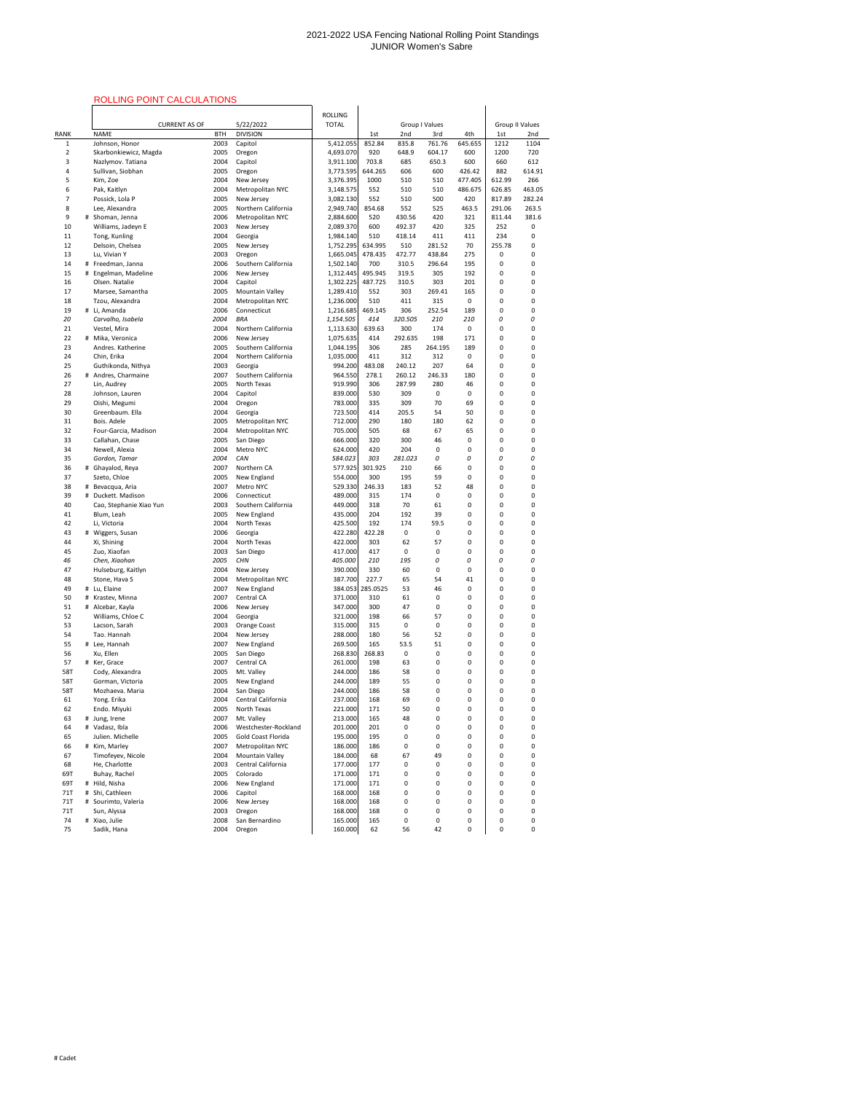ROLLING POINT CALCULATIONS

|                |    | <u>INSEEINST SINT SAESSEATISINS</u>  |              |                                            |                        |                         |               |                |                    |                                      |        |  |
|----------------|----|--------------------------------------|--------------|--------------------------------------------|------------------------|-------------------------|---------------|----------------|--------------------|--------------------------------------|--------|--|
|                |    |                                      |              |                                            | <b>ROLLING</b>         | <b>Group I Values</b>   |               |                |                    |                                      |        |  |
| RANK           |    | <b>CURRENT AS OF</b><br><b>NAME</b>  | <b>BTH</b>   | 5/22/2022<br><b>DIVISION</b>               | <b>TOTAL</b>           | 1st                     | 2nd           | 3rd            | 4th                | <b>Group II Values</b><br>1st<br>2nd |        |  |
| 1              |    | Johnson, Honor                       | 2003         | Capitol                                    | 5,412.055              | 852.84                  | 835.8         | 761.76         | 645.655            | 1212                                 | 1104   |  |
| $\overline{2}$ |    | Skarbonkiewicz, Magda                | 2005         | Oregon                                     | 4,693.070              | 920                     | 648.9         | 604.17         | 600                | 1200                                 | 720    |  |
| 3              |    | Nazlymov. Tatiana                    | 2004         | Capitol                                    | 3,911.100              | 703.8                   | 685           | 650.3          | 600                | 660                                  | 612    |  |
| 4              |    | Sullivan, Siobhan                    | 2005         | Oregon                                     | 3,773.595              | 644.265                 | 606           | 600            | 426.42             | 882                                  | 614.91 |  |
| 5              |    | Kim, Zoe                             | 2004         | New Jersey                                 | 3,376.395              | 1000                    | 510           | 510            | 477.405            | 612.99                               | 266    |  |
| 6              |    | Pak, Kaitlyn                         | 2004         | Metropolitan NYC                           | 3,148.575              | 552                     | 510           | 510            | 486.675            | 626.85                               | 463.05 |  |
| 7              |    | Possick, Lola P                      | 2005         | New Jersey                                 | 3,082.130              | 552                     | 510           | 500            | 420                | 817.89                               | 282.24 |  |
| 8              |    | Lee, Alexandra                       | 2005         | Northern California                        | 2,949.740              | 854.68                  | 552           | 525            | 463.5              | 291.06                               | 263.5  |  |
| 9              |    | # Shoman, Jenna                      | 2006         | Metropolitan NYC                           | 2,884.600              | 520                     | 430.56        | 420            | 321                | 811.44                               | 381.6  |  |
| 10             |    | Williams, Jadeyn E                   | 2003         | New Jersey                                 | 2,089.370              | 600                     | 492.37        | 420            | 325                | 252                                  | 0      |  |
| 11<br>12       |    | Tong, Kunling<br>Delsoin, Chelsea    | 2004<br>2005 | Georgia                                    | 1,984.140              | 510<br>634.995          | 418.14<br>510 | 411<br>281.52  | 411<br>70          | 234<br>255.78                        | 0      |  |
| 13             |    | Lu, Vivian Y                         | 2003         | New Jersey<br>Oregon                       | 1,752.295<br>1,665.045 | 478.435                 | 472.77        | 438.84         | 275                | 0                                    | 0<br>0 |  |
| 14             |    | # Freedman, Janna                    | 2006         | Southern California                        | 1,502.140              | 700                     | 310.5         | 296.64         | 195                | 0                                    | 0      |  |
| 15             | Ħ. | Engelman, Madeline                   | 2006         | New Jersey                                 | 1,312.445              | 495.945                 | 319.5         | 305            | 192                | 0                                    | 0      |  |
| 16             |    | Olsen. Natalie                       | 2004         | Capitol                                    | 1,302.225              | 487.725                 | 310.5         | 303            | 201                | 0                                    | 0      |  |
| 17             |    | Marsee, Samantha                     | 2005         | <b>Mountain Valley</b>                     | 1,289.410              | 552                     | 303           | 269.41         | 165                | 0                                    | 0      |  |
| 18             |    | Tzou, Alexandra                      | 2004         | Metropolitan NYC                           | 1,236.000              | 510                     | 411           | 315            | $\mathbf 0$        | 0                                    | 0      |  |
| 19             |    | # Li, Amanda                         | 2006         | Connecticut                                | 1,216.685              | 469.145                 | 306           | 252.54         | 189                | 0                                    | 0      |  |
| 20             |    | Carvalho, Isabela                    | 2004         | <b>BRA</b>                                 | 1,154.505              | 414                     | 320.505       | 210            | 210                | 0                                    | 0      |  |
| 21             |    | Vestel, Mira                         | 2004         | Northern California                        | 1,113.630              | 639.63                  | 300           | 174            | 0                  | 0                                    | 0      |  |
| 22             |    | # Mika, Veronica                     | 2006         | New Jersey                                 | 1,075.635              | 414                     | 292.635       | 198            | 171                | 0                                    | 0      |  |
| 23<br>24       |    | Andres. Katherine                    | 2005<br>2004 | Southern California<br>Northern California | 1,044.195<br>1,035.000 | 306<br>411              | 285<br>312    | 264.195<br>312 | 189<br>$\mathbf 0$ | 0<br>0                               | 0<br>0 |  |
| 25             |    | Chin, Erika<br>Guthikonda, Nithya    | 2003         | Georgia                                    | 994.200                | 483.08                  | 240.12        | 207            | 64                 | 0                                    | 0      |  |
| 26             |    | # Andres, Charmaine                  | 2007         | Southern California                        | 964.550                | 278.1                   | 260.12        | 246.33         | 180                | 0                                    | 0      |  |
| 27             |    | Lin, Audrey                          | 2005         | North Texas                                | 919.990                | 306                     | 287.99        | 280            | 46                 | 0                                    | 0      |  |
| 28             |    | Johnson, Lauren                      | 2004         | Capitol                                    | 839.000                | 530                     | 309           | $\pmb{0}$      | $\pmb{0}$          | 0                                    | 0      |  |
| 29             |    | Oishi, Megumi                        | 2004         | Oregon                                     | 783.000                | 335                     | 309           | 70             | 69                 | 0                                    | 0      |  |
| 30             |    | Greenbaum. Ella                      | 2004         | Georgia                                    | 723.500                | 414                     | 205.5         | 54             | 50                 | 0                                    | 0      |  |
| 31             |    | Bois. Adele                          | 2005         | Metropolitan NYC                           | 712.000                | 290                     | 180           | 180            | 62                 | 0                                    | 0      |  |
| 32             |    | Four-Garcia, Madison                 | 2004         | Metropolitan NYC                           | 705.000                | 505                     | 68            | 67             | 65                 | 0                                    | 0      |  |
| 33             |    | Callahan, Chase                      | 2005         | San Diego                                  | 666.000                | 320                     | 300           | 46             | $\mathbf 0$        | 0                                    | 0      |  |
| 34             |    | Newell, Alexia                       | 2004         | Metro NYC                                  | 624.000                | 420                     | 204           | 0              | 0                  | 0                                    | 0      |  |
| 35             |    | Gordon, Tamar                        | 2004         | CAN                                        | 584.023                | 303                     | 281.023       | 0              | 0                  | 0                                    | 0      |  |
| 36<br>37       |    | # Ghayalod, Reya<br>Szeto, Chloe     | 2007<br>2005 | Northern CA<br>New England                 | 577.925<br>554.000     | 301.925<br>300          | 210<br>195    | 66<br>59       | 0<br>0             | 0<br>0                               | 0<br>0 |  |
| 38             | #  | Bevacqua, Aria                       | 2007         | Metro NYC                                  | 529.330                | 246.33                  | 183           | 52             | 48                 | 0                                    | 0      |  |
| 39             | #  | Duckett. Madison                     | 2006         | Connecticut                                | 489.000                | 315                     | 174           | 0              | $\mathbf 0$        | 0                                    | 0      |  |
| 40             |    | Cao, Stephanie Xiao Yun              | 2003         | Southern California                        | 449.000                | 318                     | 70            | 61             | $\mathbf 0$        | 0                                    | 0      |  |
| 41             |    | Blum, Leah                           | 2005         | New England                                | 435.000                | 204                     | 192           | 39             | 0                  | 0                                    | 0      |  |
| 42             |    | Li, Victoria                         | 2004         | North Texas                                | 425.500                | 192                     | 174           | 59.5           | 0                  | 0                                    | 0      |  |
| 43             |    | # Wiggers, Susan                     | 2006         | Georgia                                    | 422.280                | 422.28                  | 0             | 0              | $\mathbf 0$        | 0                                    | 0      |  |
| 44             |    | Xi, Shining                          | 2004         | North Texas                                | 422.000                | 303                     | 62            | 57             | $\mathbf 0$        | 0                                    | 0      |  |
| 45             |    | Zuo, Xiaofan                         | 2003         | San Diego                                  | 417.000                | 417                     | 0             | 0              | 0                  | 0                                    | 0      |  |
| 46             |    | Chen, Xiaohan                        | 2005         | <b>CHN</b>                                 | 405.000                | 210                     | 195           | 0              | 0                  | 0                                    | 0      |  |
| 47             |    | Hulseburg, Kaitlyn                   | 2004         | New Jersey                                 | 390.000                | 330                     | 60            | 0              | 0                  | 0                                    | 0      |  |
| 48             |    | Stone, Hava S                        | 2004         | Metropolitan NYC                           | 387.700                | 227.7                   | 65            | 54             | 41                 | 0                                    | 0      |  |
| 49<br>50       |    | # Lu, Elaine                         | 2007<br>2007 | New England<br>Central CA                  | 371.000                | 384.053 285.0525<br>310 | 53<br>61      | 46             | $\mathbf 0$        | 0<br>0                               | 0<br>0 |  |
| 51             |    | # Krastev, Minna<br># Alcebar, Kayla | 2006         | New Jersey                                 | 347.000                | 300                     | 47            | 0<br>0         | 0<br>$\mathbf 0$   | 0                                    | 0      |  |
| 52             |    | Williams, Chloe C                    | 2004         | Georgia                                    | 321.000                | 198                     | 66            | 57             | $\mathbf 0$        | 0                                    | 0      |  |
| 53             |    | Lacson, Sarah                        | 2003         | Orange Coast                               | 315.000                | 315                     | 0             | 0              | 0                  | 0                                    | 0      |  |
| 54             |    | Tao. Hannah                          | 2004         | New Jersey                                 | 288.000                | 180                     | 56            | 52             | 0                  | 0                                    | 0      |  |
| 55             |    | # Lee, Hannah                        | 2007         | New England                                | 269.500                | 165                     | 53.5          | 51             | 0                  | 0                                    | 0      |  |
| 56             |    | Xu, Ellen                            | 2005         | San Diego                                  | 268.830                | 268.83                  | 0             | 0              | $\mathbf 0$        | 0                                    | 0      |  |
| 57             |    | # Ker, Grace                         | 2007         | Central CA                                 | 261.000                | 198                     | 63            | 0              | $\mathbf 0$        | 0                                    | 0      |  |
| 58T            |    | Cody, Alexandra                      | 2005         | Mt. Valley                                 | 244.000                | 186                     | 58            | 0              | 0                  | 0                                    | 0      |  |
| 58T            |    | Gorman, Victoria                     | 2005         | New England                                | 244.000                | 189                     | 55            | 0              | 0                  | 0                                    | 0      |  |
| 58T            |    | Mozhaeva. Maria                      | 2004         | San Diego                                  | 244.000                | 186                     | 58            | 0              | 0                  | 0                                    | 0      |  |
| 61             |    | Yong. Erika                          | 2004         | Central California                         | 237.000                | 168                     | 69            | 0              | $\mathbf 0$        | 0                                    | 0      |  |
| 62<br>63       |    | Endo. Miyuki<br># Jung, Irene        | 2005<br>2007 | North Texas<br>Mt. Valley                  | 221.000<br>213.000     | 171<br>165              | 50<br>48      | 0<br>0         | 0<br>0             | 0<br>0                               | 0<br>0 |  |
| 64             |    | # Vadasz, Ibla                       | 2006         | Westchester-Rockland                       | 201.000                | 201                     | 0             | 0              | 0                  | 0                                    | 0      |  |
| 65             |    | Julien. Michelle                     | 2005         | <b>Gold Coast Florida</b>                  | 195.000                | 195                     | 0             | 0              | 0                  | 0                                    | 0      |  |
| 66             |    | # Kim, Marley                        | 2007         | Metropolitan NYC                           | 186.000                | 186                     | 0             | 0              | 0                  | 0                                    | 0      |  |
| 67             |    | Timofeyev, Nicole                    | 2004         | <b>Mountain Valley</b>                     | 184.000                | 68                      | 67            | 49             | $\mathbf 0$        | 0                                    | 0      |  |
| 68             |    | He, Charlotte                        | 2003         | Central California                         | 177.000                | 177                     | 0             | 0              | 0                  | 0                                    | 0      |  |
| 69T            |    | Buhay, Rachel                        | 2005         | Colorado                                   | 171.000                | 171                     | 0             | 0              | 0                  | 0                                    | 0      |  |
| 69T            |    | # Hild, Nisha                        | 2006         | New England                                | 171.000                | 171                     | 0             | 0              | 0                  | 0                                    | 0      |  |
| 71T            |    | # Shi, Cathleen                      | 2006         | Capitol                                    | 168.000                | 168                     | 0             | 0              | 0                  | 0                                    | 0      |  |
| 71T            |    | # Sourimto, Valeria                  | 2006         | New Jersey                                 | 168.000                | 168                     | 0             | 0              | $\mathbf 0$        | 0                                    | 0      |  |
| 71T            |    | Sun, Alyssa                          | 2003         | Oregon                                     | 168.000                | 168                     | 0             | 0              | 0                  | 0                                    | 0      |  |
| 74             |    | # Xiao, Julie                        | 2008         | San Bernardino                             | 165.000                | 165                     | 0             | 0              | 0                  | 0                                    | 0      |  |
| 75             |    | Sadik, Hana                          | 2004         | Oregon                                     | 160.000                | 62                      | 56            | 42             | 0                  | 0                                    | 0      |  |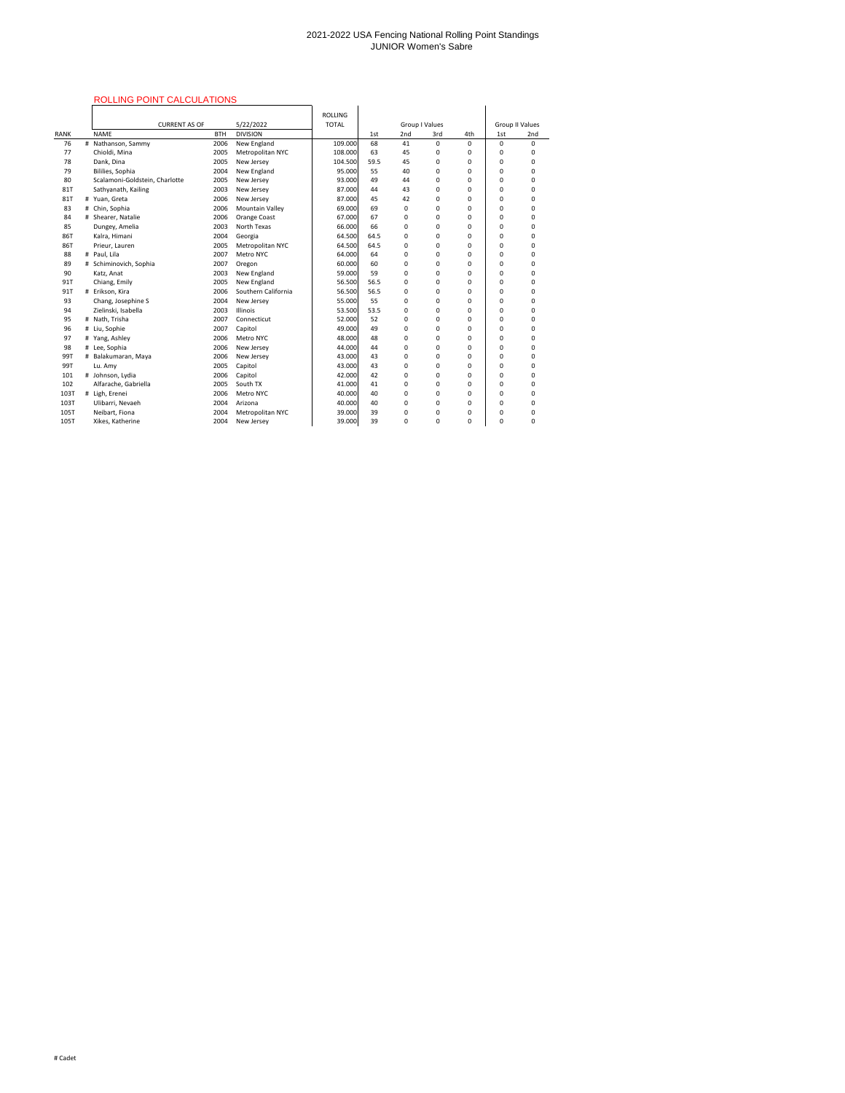ROLLING POINT CALCULATIONS

|             |   | <u>INULLIINU FUINT UALUULA HUINU</u> |            |                     |                |      |                       |     |     |                        |             |
|-------------|---|--------------------------------------|------------|---------------------|----------------|------|-----------------------|-----|-----|------------------------|-------------|
|             |   |                                      |            |                     | <b>ROLLING</b> |      |                       |     |     |                        |             |
|             |   | <b>CURRENT AS OF</b>                 |            | 5/22/2022           | <b>TOTAL</b>   |      | <b>Group I Values</b> |     |     | <b>Group II Values</b> |             |
| <b>RANK</b> |   | <b>NAME</b>                          | <b>BTH</b> | <b>DIVISION</b>     |                | 1st  | 2nd                   | 3rd | 4th | 1st                    | 2nd         |
| 76          | # | Nathanson, Sammy                     | 2006       | New England         | 109.000        | 68   | 41                    | 0   | 0   | $\mathbf 0$            | 0           |
| 77          |   | Chioldi, Mina                        | 2005       | Metropolitan NYC    | 108.000        | 63   | 45                    | 0   | 0   | 0                      | 0           |
| 78          |   | Dank, Dina                           | 2005       | New Jersey          | 104.500        | 59.5 | 45                    | 0   | 0   | 0                      | 0           |
| 79          |   | Bililies, Sophia                     | 2004       | New England         | 95.000         | 55   | 40                    | 0   | 0   | 0                      | 0           |
| 80          |   | Scalamoni-Goldstein, Charlotte       | 2005       | New Jersey          | 93.000         | 49   | 44                    | 0   | 0   | 0                      | 0           |
| 81T         |   | Sathyanath, Kailing                  | 2003       | New Jersey          | 87.000         | 44   | 43                    | 0   | 0   | 0                      | 0           |
| 81T         |   | # Yuan, Greta                        | 2006       | New Jersey          | 87.000         | 45   | 42                    | 0   | 0   | 0                      | 0           |
| 83          |   | # Chin, Sophia                       | 2006       | Mountain Valley     | 69.000         | 69   | 0                     | 0   | 0   | 0                      | 0           |
| 84          |   | # Shearer, Natalie                   | 2006       | Orange Coast        | 67.000         | 67   | 0                     | 0   | 0   | 0                      | 0           |
| 85          |   | Dungey, Amelia                       | 2003       | North Texas         | 66.000         | 66   | 0                     | 0   | 0   | 0                      | 0           |
| 86T         |   | Kalra, Himani                        | 2004       | Georgia             | 64.500         | 64.5 | 0                     | 0   | 0   | 0                      | 0           |
| 86T         |   | Prieur, Lauren                       | 2005       | Metropolitan NYC    | 64.500         | 64.5 | 0                     | 0   | 0   | 0                      | 0           |
| 88          |   | # Paul, Lila                         | 2007       | Metro NYC           | 64.000         | 64   | 0                     | 0   | 0   | 0                      | 0           |
| 89          |   | # Schiminovich, Sophia               | 2007       | Oregon              | 60.000         | 60   | 0                     | 0   | 0   | 0                      | 0           |
| 90          |   | Katz, Anat                           | 2003       | New England         | 59.000         | 59   | 0                     | 0   | 0   | 0                      | 0           |
| 91T         |   | Chiang, Emily                        | 2005       | New England         | 56.500         | 56.5 | 0                     | 0   | 0   | 0                      | 0           |
| 91T         | # | Erikson, Kira                        | 2006       | Southern California | 56.500         | 56.5 | 0                     | 0   | 0   | 0                      | 0           |
| 93          |   | Chang, Josephine S                   | 2004       | New Jersey          | 55.000         | 55   | 0                     | 0   | 0   | 0                      | 0           |
| 94          |   | Zielinski, Isabella                  | 2003       | Illinois            | 53.500         | 53.5 | 0                     | 0   | 0   | 0                      | 0           |
| 95          |   | # Nath, Trisha                       | 2007       | Connecticut         | 52.000         | 52   | 0                     | 0   | 0   | 0                      | 0           |
| 96          | # | Liu, Sophie                          | 2007       | Capitol             | 49.000         | 49   | 0                     | 0   | 0   | 0                      | 0           |
| 97          |   | # Yang, Ashley                       | 2006       | Metro NYC           | 48.000         | 48   | 0                     | 0   | 0   | 0                      | 0           |
| 98          |   | # Lee, Sophia                        | 2006       | New Jersey          | 44.000         | 44   | 0                     | 0   | 0   | 0                      | 0           |
| <b>99T</b>  | # | Balakumaran, Maya                    | 2006       | New Jersey          | 43.000         | 43   | 0                     | 0   | 0   | 0                      | 0           |
| 99T         |   | Lu. Amy                              | 2005       | Capitol             | 43.000         | 43   | 0                     | 0   | 0   | 0                      | 0           |
| 101         |   | # Johnson, Lydia                     | 2006       | Capitol             | 42.000         | 42   | 0                     | 0   | 0   | 0                      | 0           |
| 102         |   | Alfarache, Gabriella                 | 2005       | South TX            | 41.000         | 41   | 0                     | 0   | 0   | 0                      | 0           |
| 103T        |   | # Ligh, Erenei                       | 2006       | Metro NYC           | 40.000         | 40   | 0                     | 0   | 0   | 0                      | 0           |
| 103T        |   | Ulibarri, Nevaeh                     | 2004       | Arizona             | 40.000         | 40   | 0                     | 0   | 0   | 0                      | 0           |
| 105T        |   | Neibart, Fiona                       | 2004       | Metropolitan NYC    | 39.000         | 39   | 0                     | 0   | 0   | 0                      | 0           |
| 105T        |   | Xikes, Katherine                     | 2004       | New Jersey          | 39.000         | 39   | 0                     | 0   | 0   | 0                      | $\mathbf 0$ |
|             |   |                                      |            |                     |                |      |                       |     |     |                        |             |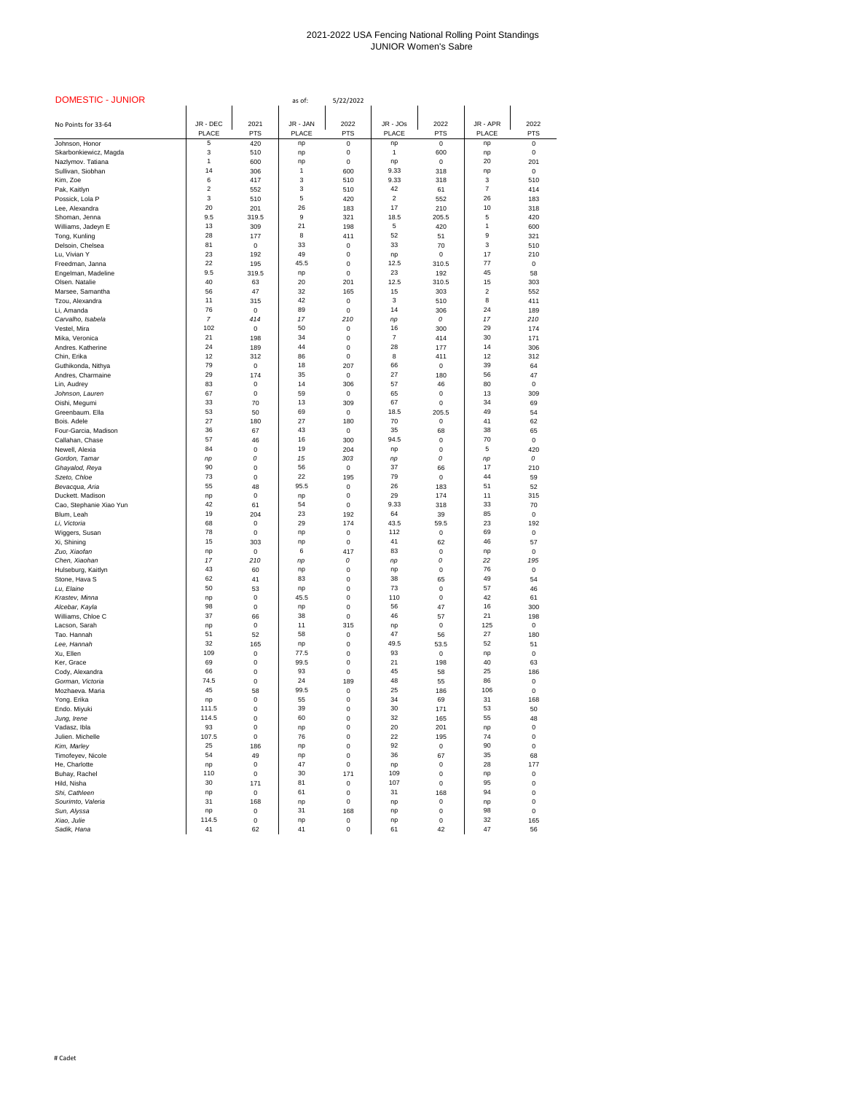| <b>DOMESTIC - JUNIOR</b> |                          |                    | as of:                   | 5/22/2022          |                          |                    |                          |                    |
|--------------------------|--------------------------|--------------------|--------------------------|--------------------|--------------------------|--------------------|--------------------------|--------------------|
| No Points for 33-64      | JR - DEC<br><b>PLACE</b> | 2021<br><b>PTS</b> | JR - JAN<br><b>PLACE</b> | 2022<br><b>PTS</b> | JR - JOs<br><b>PLACE</b> | 2022<br><b>PTS</b> | JR - APR<br><b>PLACE</b> | 2022<br><b>PTS</b> |
| Johnson, Honor           | 5                        | 420                | np                       | $\mathbf 0$        | np                       | $\overline{0}$     | np                       | $\mathbf 0$        |
| Skarbonkiewicz, Magda    | 3                        | 510                | np                       | 0                  | 1                        | 600                | np                       | 0                  |
| Nazlymov. Tatiana        | 1                        | 600                | np                       | $\Omega$           | np                       | 0                  | 20                       | 201                |
| Sullivan, Siobhan        | 14                       | 306                | 1                        | 600                | 9.33                     | 318                | np                       | $\mathbf 0$        |
|                          | 6                        | 417                | 3                        | 510                | 9.33                     |                    | 3                        | 510                |
| Kim, Zoe                 |                          |                    |                          |                    |                          | 318                |                          |                    |
| Pak, Kaitlyn             | 2                        | 552                | 3                        | 510                | 42                       | 61                 | 7                        | 414                |
| Possick, Lola P          | 3                        | 510                | 5                        | 420                | $\sqrt{2}$               | 552                | 26                       | 183                |
| Lee, Alexandra           | 20                       | 201                | 26                       | 183                | 17                       | 210                | 10                       | 318                |
| Shoman, Jenna            | 9.5                      | 319.5              | 9                        | 321                | 18.5                     | 205.5              | 5                        | 420                |
| Williams, Jadeyn E       | 13                       | 309                | 21                       | 198                | 5                        | 420                |                          | 600                |
| Tong, Kunling            | 28                       | 177                | 8                        | 411                | 52                       | 51                 | 9                        | 321                |
| Delsoin, Chelsea         | 81                       | $\mathbf 0$        | 33                       | 0                  | 33                       | 70                 | 3                        | 510                |
| Lu, Vivian Y             | 23                       | 192                | 49                       | 0                  | np                       | $\Omega$           | 17                       | 210                |
| Freedman, Janna          | 22                       | 195                | 45.5                     | 0                  | 12.5                     | 310.5              | 77                       | 0                  |
| Engelman, Madeline       | 9.5                      | 319.5              | np                       | $\pmb{0}$          | 23                       | 192                | 45                       | 58                 |
| Olsen. Natalie           | 40                       | 63                 | 20                       | 201                | 12.5                     | 310.5              | 15                       | 303                |
| Marsee, Samantha         | 56                       | 47                 | 32                       | 165                | 15                       | 303                | 2                        | 552                |
| Tzou, Alexandra          | 11                       | 315                | 42                       | 0                  | 3                        | 510                | 8                        | 411                |
| Li, Amanda               | 76                       | 0                  | 89                       | 0                  | 14                       | 306                | 24                       | 189                |
| Carvalho, Isabela        | $\overline{7}$           | 414                | 17                       | 210                | np                       | 0                  | 17                       | 210                |
| Vestel, Mira             | 102                      | 0                  | 50                       | $\mathbf 0$        | 16                       | 300                | 29                       | 174                |
| Mika, Veronica           | 21                       | 198                | 34                       | 0                  | $\overline{7}$           | 414                | 30                       | 171                |
| Andres. Katherine        | 24                       | 189                | 44                       | 0                  | 28                       | 177                | 14                       | 306                |
|                          | 12                       |                    | 86                       |                    | 8                        |                    | 12                       |                    |
| Chin, Erika              |                          | 312                |                          | 0                  |                          | 411                |                          | 312                |
| Guthikonda, Nithya       | 79                       | 0                  | 18                       | 207                | 66                       | 0                  | 39                       | 64                 |
| Andres, Charmaine        | 29                       | 174                | 35                       | $\mathbf 0$        | 27                       | 180                | 56                       | 47                 |
| Lin, Audrey              | 83                       | $\mathbf 0$        | 14                       | 306                | 57                       | 46                 | 80                       | 0                  |
| Johnson, Lauren          | 67                       | $\pmb{0}$          | 59                       | 0                  | 65                       | 0                  | 13                       | 309                |
| Oishi, Megumi            | 33                       | 70                 | 13                       | 309                | 67                       | 0                  | 34                       | 69                 |
| Greenbaum. Ella          | 53                       | 50                 | 69                       | 0                  | 18.5                     | 205.5              | 49                       | 54                 |
| Bois. Adele              | 27                       | 180                | 27                       | 180                | 70                       | 0                  | 41                       | 62                 |
| Four-Garcia, Madison     | 36                       | 67                 | 43                       | 0                  | 35                       | 68                 | 38                       | 65                 |
| Callahan, Chase          | 57                       | 46                 | 16                       | 300                | 94.5                     | 0                  | 70                       | 0                  |
| Newell, Alexia           | 84                       | $\mathbf 0$        | 19                       | 204                | np                       | 0                  | 5                        | 420                |
| Gordon, Tamar            | np                       | 0                  | 15                       | 303                | np                       | 0                  | np                       | 0                  |
| Ghayalod, Reya           | 90                       | 0                  | 56                       | 0                  | 37                       | 66                 | 17                       | 210                |
| Szeto, Chloe             | 73                       | 0                  | 22                       | 195                | 79                       | $\Omega$           | 44                       | 59                 |
| Bevacqua, Aria           | 55                       | 48                 | 95.5                     | 0                  | 26                       | 183                | 51                       | 52                 |
| Duckett. Madison         |                          |                    |                          |                    | 29                       | 174                | 11                       |                    |
|                          | np                       | 0                  | np                       | 0                  |                          |                    |                          | 315                |
| Cao, Stephanie Xiao Yun  | 42                       | 61                 | 54                       | 0                  | 9.33                     | 318                | 33                       | 70                 |
| Blum, Leah               | 19                       | 204                | 23                       | 192                | 64                       | 39                 | 85                       | 0                  |
| Li, Victoria             | 68                       | 0                  | 29                       | 174                | 43.5                     | 59.5               | 23                       | 192                |
| Wiggers, Susan           | 78                       | 0                  | np                       | 0                  | 112                      | 0                  | 69                       | 0                  |
| Xi, Shining              | 15                       | 303                | np                       | 0                  | 41                       | 62                 | 46                       | 57                 |
| Zuo, Xiaofan             | np                       | 0                  | 6                        | 417                | 83                       | 0                  | np                       | $\Omega$           |
| Chen, Xiaohan            | 17                       | 210                | np                       | 0                  | np                       | 0                  | 22                       | 195                |
| Hulseburg, Kaitlyn       | 43                       | 60                 | np                       | 0                  | np                       | 0                  | 76                       | 0                  |
| Stone, Hava S            | 62                       | 41                 | 83                       | 0                  | 38                       | 65                 | 49                       | 54                 |
| Lu, Elaine               | 50                       | 53                 | np                       | 0                  | 73                       | 0                  | 57                       | 46                 |
| Krastev, Minna           | np                       | 0                  | 45.5                     | 0                  | 110                      | 0                  | 42                       | 61                 |
| Alcebar, Kayla           | 98                       | 0                  | np                       | 0                  | 56                       | 47                 | 16                       | 300                |
| Williams, Chloe C        | 37                       | 66                 | 38                       | 0                  | 46                       | 57                 | 21                       | 198                |
| Lacson, Sarah            | np                       | $\mathbf 0$        | 11                       | 315                | np                       | 0                  | 125                      | 0                  |
| Tao. Hannah              | 51                       | 52                 | 58                       | 0                  | 47                       | 56                 | 27                       | 180                |
| Lee, Hannah              | 32                       | 165                |                          | 0                  | 49.5                     | 53.5               | 52                       | 51                 |
|                          | 109                      |                    | np<br>77.5               |                    | 93                       |                    |                          |                    |
| Xu, Ellen                |                          | 0                  |                          | 0                  |                          | 0                  | np                       | $\Omega$           |
| Ker, Grace               | 69                       | 0                  | 99.5                     | 0                  | 21                       | 198                | 40                       | 63                 |
| Cody, Alexandra          | 66                       | 0                  | 93                       | 0                  | 45                       | 58                 | 25                       | 186                |
| Gorman, Victoria         | 74.5                     | $\mathbf 0$        | 24                       | 189                | 48                       | 55                 | 86                       | 0                  |
| Mozhaeva. Maria          | 45                       | 58                 | 99.5                     | 0                  | 25                       | 186                | 106                      | $\Omega$           |
| Yong. Erika              | np                       | 0                  | 55                       | 0                  | 34                       | 69                 | 31                       | 168                |
| Endo. Miyuki             | 111.5                    | 0                  | 39                       | 0                  | 30                       | 171                | 53                       | 50                 |
| Jung, Irene              | 114.5                    | 0                  | 60                       | 0                  | 32                       | 165                | 55                       | 48                 |
| Vadasz, Ibla             | 93                       | 0                  | np                       | 0                  | 20                       | 201                | np                       | 0                  |
| Julien. Michelle         | 107.5                    | 0                  | 76                       | 0                  | 22                       | 195                | 74                       | 0                  |
| Kim, Marley              | 25                       | 186                | np                       | 0                  | 92                       | 0                  | 90                       | $\Omega$           |
| Timofeyev, Nicole        | 54                       | 49                 | np                       | 0                  | 36                       | 67                 | 35                       | 68                 |
| He, Charlotte            | np                       | 0                  | 47                       | $\Omega$           | np                       | 0                  | 28                       | 177                |
| Buhay, Rachel            | 110                      | $\mathbf 0$        | 30                       | 171                | 109                      | 0                  | np                       | 0                  |
| Hild, Nisha              | 30                       | 171                | 81                       | 0                  | 107                      | 0                  | 95                       | 0                  |
|                          |                          | $\mathbf 0$        | 61                       |                    | 31                       |                    | 94                       |                    |
| Shi, Cathleen            | np<br>31                 |                    |                          | 0                  |                          | 168                |                          | $\Omega$           |
| Sourimto, Valeria        |                          | 168                | np                       | 0                  | np                       | 0                  | np                       | 0                  |
| Sun, Alyssa              | np                       | $\mathbf 0$        | 31                       | 168                | np                       | 0                  | 98                       | $\Omega$           |
| Xiao, Julie              | 114.5                    | 0                  | np                       | 0                  | np                       | 0                  | 32                       | 165                |
| Sadik, Hana              | 41                       | 62                 | 41                       | 0                  | 61                       | 42                 | 47                       | 56                 |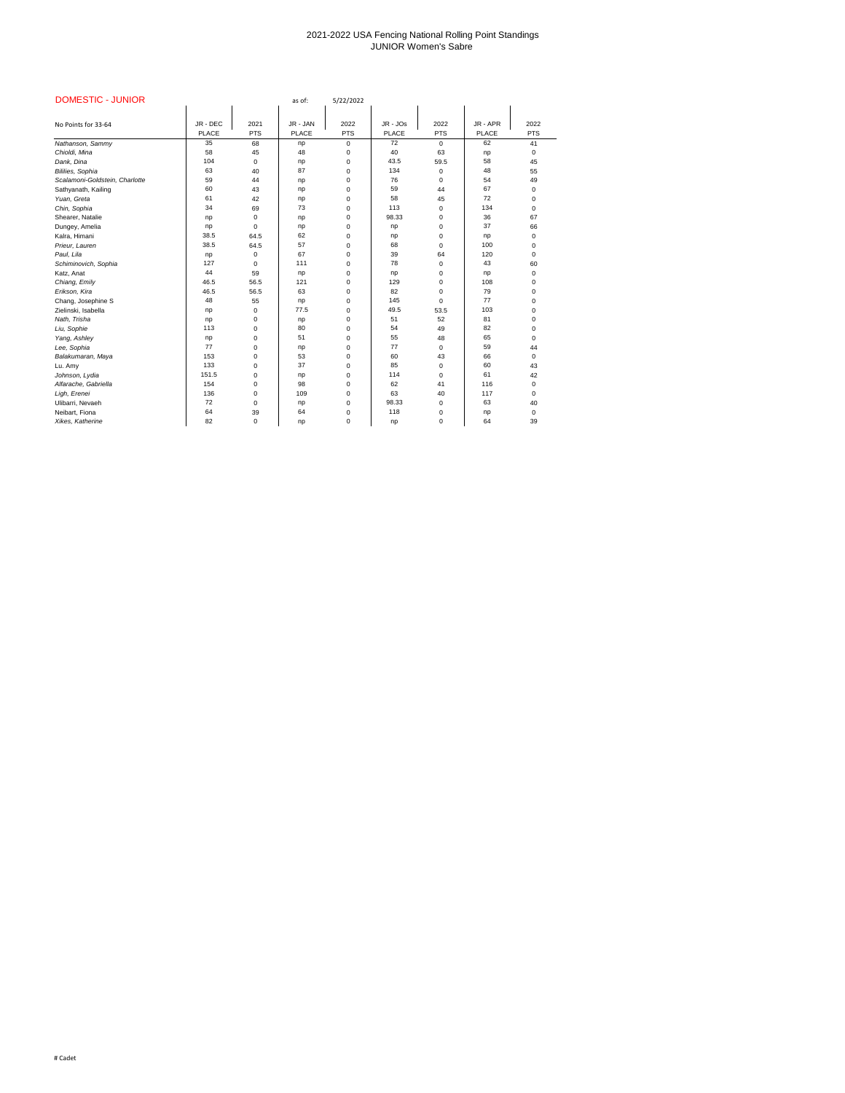| <b>DOMESTIC - JUNIOR</b>       |              |            | as of:       | 5/22/2022   |              |             |              |             |
|--------------------------------|--------------|------------|--------------|-------------|--------------|-------------|--------------|-------------|
|                                |              |            |              |             |              |             |              |             |
| No Points for 33-64            | JR - DEC     | 2021       | JR - JAN     | 2022        | JR - JOs     | 2022        | JR - APR     | 2022        |
|                                | <b>PLACE</b> | <b>PTS</b> | <b>PLACE</b> | <b>PTS</b>  | <b>PLACE</b> | <b>PTS</b>  | <b>PLACE</b> | <b>PTS</b>  |
| Nathanson, Sammy               | 35           | 68         | np           | $\mathbf 0$ | 72           | $\mathbf 0$ | 62           | 41          |
| Chioldi, Mina                  | 58           | 45         | 48           | 0           | 40           | 63          | np           | $\mathbf 0$ |
| Dank, Dina                     | 104          | 0          | np           | 0           | 43.5         | 59.5        | 58           | 45          |
| Bililies, Sophia               | 63           | 40         | 87           | 0           | 134          | $\mathbf 0$ | 48           | 55          |
| Scalamoni-Goldstein, Charlotte | 59           | 44         | np           | 0           | 76           | 0           | 54           | 49          |
| Sathyanath, Kailing            | 60           | 43         | np           | 0           | 59           | 44          | 67           | 0           |
| Yuan, Greta                    | 61           | 42         | np           | $\Omega$    | 58           | 45          | 72           | 0           |
| Chin, Sophia                   | 34           | 69         | 73           | 0           | 113          | $\mathbf 0$ | 134          | 0           |
| Shearer, Natalie               | np           | 0          | np           | 0           | 98.33        | $\mathbf 0$ | 36           | 67          |
| Dungey, Amelia                 | np           | $\Omega$   | np           | 0           | np           | 0           | 37           | 66          |
| Kalra, Himani                  | 38.5         | 64.5       | 62           | 0           | np           | $\pmb{0}$   | np           | 0           |
| Prieur, Lauren                 | 38.5         | 64.5       | 57           | 0           | 68           | $\mathbf 0$ | 100          | 0           |
| Paul, Lila                     | np           | 0          | 67           | 0           | 39           | 64          | 120          | 0           |
| Schiminovich, Sophia           | 127          | 0          | 111          | 0           | 78           | $\pmb{0}$   | 43           | 60          |
| Katz, Anat                     | 44           | 59         | np           | 0           | np           | $\pmb{0}$   | np           | 0           |
| Chiang, Emily                  | 46.5         | 56.5       | 121          | 0           | 129          | 0           | 108          | 0           |
| Erikson, Kira                  | 46.5         | 56.5       | 63           | 0           | 82           | 0           | 79           | 0           |
| Chang, Josephine S             | 48           | 55         | np           | 0           | 145          | 0           | 77           | 0           |
| Zielinski, Isabella            | np           | 0          | 77.5         | 0           | 49.5         | 53.5        | 103          | 0           |
| Nath, Trisha                   | np           | 0          | np           | 0           | 51           | 52          | 81           | 0           |
| Liu, Sophie                    | 113          | 0          | 80           | 0           | 54           | 49          | 82           | 0           |
| Yang, Ashley                   | np           | 0          | 51           | 0           | 55           | 48          | 65           | $\Omega$    |
| Lee, Sophia                    | 77           | 0          | np           | 0           | 77           | $\mathbf 0$ | 59           | 44          |
| Balakumaran, Maya              | 153          | 0          | 53           | 0           | 60           | 43          | 66           | $\mathbf 0$ |
| Lu. Amy                        | 133          | 0          | 37           | 0           | 85           | $\pmb{0}$   | 60           | 43          |
| Johnson, Lydia                 | 151.5        | 0          | np           | 0           | 114          | $\mathbf 0$ | 61           | 42          |
| Alfarache, Gabriella           | 154          | 0          | 98           | 0           | 62           | 41          | 116          | 0           |
| Ligh, Erenei                   | 136          | 0          | 109          | 0           | 63           | 40          | 117          | 0           |
| Ulibarri, Nevaeh               | 72           | 0          | np           | 0           | 98.33        | $\mathbf 0$ | 63           | 40          |
| Neibart, Fiona                 | 64           | 39         | 64           | 0           | 118          | 0           | np           | 0           |
| Xikes, Katherine               | 82           | $\Omega$   | np           | 0           | np           | 0           | 64           | 39          |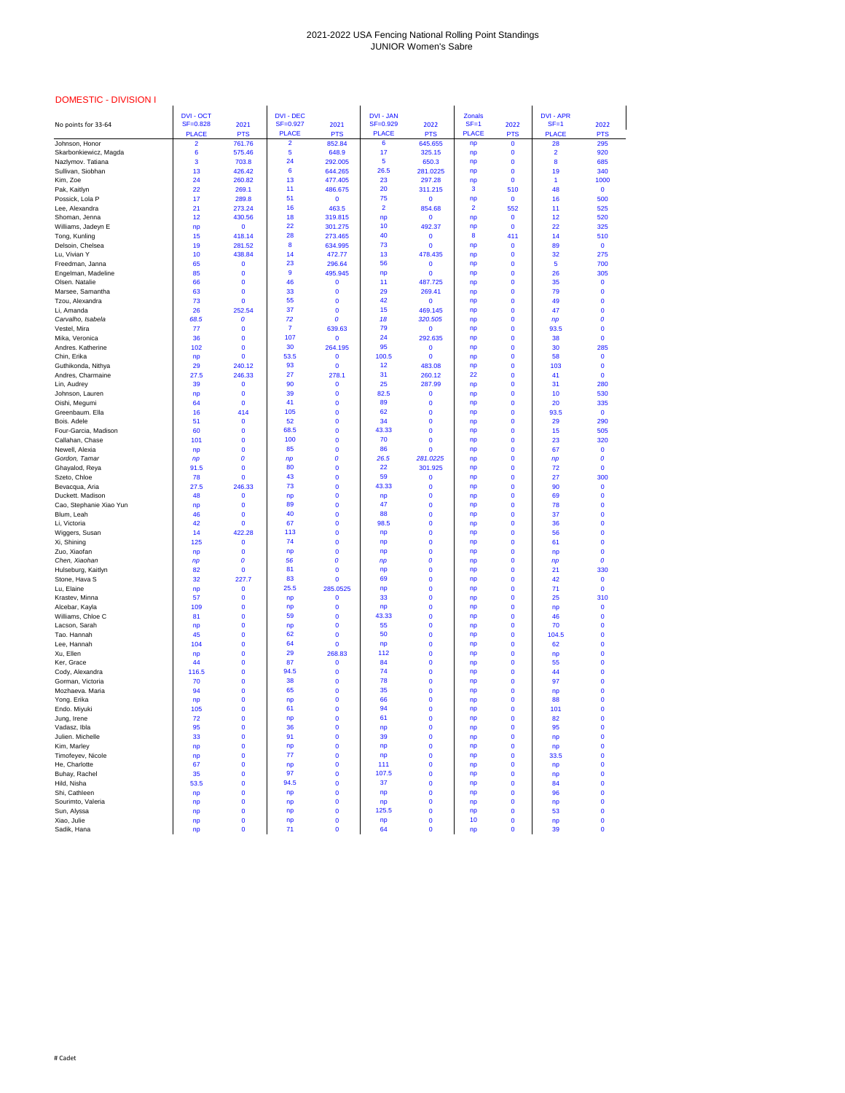#### DOMESTIC - DIVISION I

|                                       | <b>DVI - OCT</b>         |                              | <b>DVI - DEC</b>         |                              | <b>DVI - JAN</b>         |                             | <b>Zonals</b>            |                              | <b>DVI - APR</b>   |                      |
|---------------------------------------|--------------------------|------------------------------|--------------------------|------------------------------|--------------------------|-----------------------------|--------------------------|------------------------------|--------------------|----------------------|
| No points for 33-64                   | SF=0.828<br><b>PLACE</b> | 2021<br><b>PTS</b>           | SF=0.927<br><b>PLACE</b> | 2021<br><b>PTS</b>           | SF=0.929<br><b>PLACE</b> | 2022<br><b>PTS</b>          | $SF = 1$<br><b>PLACE</b> | 2022<br><b>PTS</b>           | $SF = 1$           | 2022<br><b>PTS</b>   |
| Johnson, Honor                        | $\overline{2}$           | 761.76                       | $\mathbf{2}$             | 852.84                       | 6                        | 645.655                     | np                       | $\mathbf 0$                  | <b>PLACE</b><br>28 | 295                  |
| Skarbonkiewicz, Magda                 | 6                        | 575.46                       | 5                        | 648.9                        | 17                       | 325.15                      | np                       | $\mathbf 0$                  | $\overline{2}$     | 920                  |
| Nazlymov. Tatiana                     | 3                        | 703.8                        | 24                       | 292.005                      | 5                        | 650.3                       | np                       | $\mathbf{0}$                 | 8                  | 685                  |
| Sullivan, Siobhan                     | 13                       | 426.42                       | 6                        | 644.265                      | 26.5                     | 281.0225                    | np                       | $\mathbf{0}$                 | 19                 | 340                  |
| Kim, Zoe<br>Pak, Kaitlyn              | 24<br>22                 | 260.82<br>269.1              | 13<br>11                 | 477.405<br>486.675           | 23<br>20                 | 297.28<br>311.215           | np<br>3                  | $\mathbf 0$<br>510           | 1<br>48            | 1000<br>$\mathbf 0$  |
| Possick, Lola P                       | 17                       | 289.8                        | 51                       | $\mathbf 0$                  | 75                       | $\mathbf 0$                 | np                       | $\mathbf 0$                  | 16                 | 500                  |
| Lee, Alexandra                        | 21                       | 273.24                       | 16                       | 463.5                        | $\overline{2}$           | 854.68                      | $\overline{2}$           | 552                          | 11                 | 525                  |
| Shoman, Jenna                         | 12                       | 430.56                       | 18                       | 319.815                      | np                       | $\mathbf 0$                 | np                       | $\mathbf 0$                  | 12                 | 520                  |
| Williams, Jadeyn E                    | np                       | $\mathbf 0$                  | 22                       | 301.275                      | 10                       | 492.37                      | np                       | $\mathbf{0}$                 | 22                 | 325                  |
| Tong, Kunling<br>Delsoin, Chelsea     | 15<br>19                 | 418.14<br>281.52             | 28<br>8                  | 273.465<br>634.995           | 40<br>73                 | $\mathbf 0$<br>$\Omega$     | 8<br>np                  | 411<br>$\bf{0}$              | 14<br>89           | 510<br>$\mathbf 0$   |
| Lu, Vivian Y                          | 10                       | 438.84                       | 14                       | 472.77                       | 13                       | 478.435                     | np                       | $\bf{0}$                     | 32                 | 275                  |
| Freedman, Janna                       | 65                       | $\bf{0}$                     | 23                       | 296.64                       | 56                       | $\mathbf 0$                 | np                       | $\mathbf 0$                  | 5                  | 700                  |
| Engelman, Madeline                    | 85                       | $\mathbf 0$                  | 9                        | 495.945                      | np                       | $\Omega$                    | np                       | $\mathbf 0$                  | 26                 | 305                  |
| Olsen. Natalie                        | 66                       | 0                            | 46                       | 0                            | 11                       | 487.725                     | np                       | $\bf{0}$                     | 35                 | $\bf{0}$             |
| Marsee, Samantha<br>Tzou, Alexandra   | 63<br>73                 | $\mathbf{0}$<br>$\mathbf{0}$ | 33<br>55                 | $\mathbf{0}$<br>$\mathbf 0$  | 29<br>42                 | 269.41<br>$\mathbf 0$       | np<br>np                 | $\mathbf{0}$<br>$\bf{0}$     | 79<br>49           | $\Omega$<br>$\Omega$ |
| Li, Amanda                            | 26                       | 252.54                       | 37                       | $\mathbf{0}$                 | 15                       | 469.145                     | np                       | $\mathbf{0}$                 | 47                 | 0                    |
| Carvalho, Isabela                     | 68.5                     | 0                            | 72                       | $\boldsymbol{0}$             | 18                       | 320.505                     | np                       | $\bf{0}$                     | np                 | 0                    |
| Vestel, Mira                          | 77                       | $\mathbf 0$                  | $\overline{7}$           | 639.63                       | 79                       | $\mathbf 0$                 | np                       | $\bf{0}$                     | 93.5               | $\Omega$             |
| Mika, Veronica                        | 36                       | $\mathbf{0}$                 | 107                      | $\mathbf{0}$                 | 24                       | 292.635                     | np                       | $\mathbf{0}$                 | 38                 | $\mathbf{0}$         |
| Andres. Katherine<br>Chin, Erika      | 102<br>np                | $\mathbf 0$<br>$\mathbf{0}$  | 30<br>53.5               | 264.195<br>$\bf{0}$          | 95<br>100.5              | $\mathbf 0$<br>$\mathbf{0}$ | np<br>np                 | $\mathbf 0$<br>$\bf{0}$      | 30<br>58           | 285<br>$\bf{0}$      |
| Guthikonda, Nithya                    | 29                       | 240.12                       | 93                       | $\mathbf{0}$                 | 12                       | 483.08                      | np                       | $\bf{0}$                     | 103                | $\mathbf{0}$         |
| Andres, Charmaine                     | 27.5                     | 246.33                       | 27                       | 278.1                        | 31                       | 260.12                      | 22                       | $\bf{0}$                     | 41                 | $\mathbf{0}$         |
| Lin, Audrey                           | 39                       | $\mathbf{0}$                 | 90                       | $\mathbf{0}$                 | 25                       | 287.99                      | np                       | $\bf{0}$                     | 31                 | 280                  |
| Johnson, Lauren                       | np                       | $\bf{0}$                     | 39                       | $\mathbf{0}$                 | 82.5                     | $\bf{0}$                    | np                       | $\bf{0}$                     | 10                 | 530                  |
| Oishi, Megumi<br>Greenbaum. Ella      | 64<br>16                 | $\mathbf 0$<br>414           | 41<br>105                | $\mathbf{0}$<br>$\mathbf{0}$ | 89<br>62                 | $\bf{0}$<br>$\mathbf{0}$    | np<br>np                 | $\bf{0}$<br>$\bf{0}$         | 20<br>93.5         | 335<br>$\mathbf{0}$  |
| Bois. Adele                           | 51                       | $\mathbf{0}$                 | 52                       | $\mathbf{0}$                 | 34                       | $\Omega$                    | np                       | $\bf{0}$                     | 29                 | 290                  |
| Four-Garcia, Madison                  | 60                       | $\mathbf{0}$                 | 68.5                     | 0                            | 43.33                    | 0                           | np                       | $\mathbf{0}$                 | 15                 | 505                  |
| Callahan, Chase                       | 101                      | $\Omega$                     | 100                      | 0                            | 70                       | n                           | np                       | $\bf{0}$                     | 23                 | 320                  |
| Newell, Alexia                        | np                       |                              | 85                       | 0                            | 86<br>26.5               | $\Omega$                    | np                       | $\bf{0}$                     | 67                 | $\bf{0}$             |
| Gordon, Tamar<br>Ghayalod, Reya       | np<br>91.5               | 0<br>$\bf{0}$                | np<br>80                 | 0<br>0                       | 22                       | 281.0225<br>301.925         | np<br>np                 | $\bf{0}$<br>$\bf{0}$         | np<br>72           | 0<br>$\mathbf{0}$    |
| Szeto, Chloe                          | 78                       | $\mathbf{0}$                 | 43                       | 0                            | 59                       | $\bf{0}$                    | np                       | $\bf{0}$                     | 27                 | 300                  |
| Bevacqua, Aria                        | 27.5                     | 246.33                       | 73                       | 0                            | 43.33                    | $\Omega$                    | np                       | $\mathbf{0}$                 | 90                 | $\mathbf{0}$         |
| Duckett. Madison                      | 48                       | $\mathbf{0}$                 | np                       | 0                            | np                       | 0                           | np                       | $\bf{0}$                     | 69                 |                      |
| Cao, Stephanie Xiao Yun<br>Blum, Leah | np<br>46                 | 0<br>$\bf{0}$                | 89<br>40                 | 0<br>0                       | 47<br>88                 | $\mathbf{0}$<br>$\Omega$    | np                       | $\mathbf{0}$<br>$\bf{0}$     | 78<br>37           |                      |
| Li, Victoria                          | 42                       | $\mathbf{0}$                 | 67                       | 0                            | 98.5                     | O                           | np<br>np                 | $\bf{0}$                     | 36                 |                      |
| Wiggers, Susan                        | 14                       | 422.28                       | 113                      | 0                            | np                       | $\Omega$                    | np                       | $\bf{0}$                     | 56                 |                      |
| Xi, Shining                           | 125                      | $\mathbf{0}$                 | 74                       | 0                            | np                       | ∩                           | np                       | $\bf{0}$                     | 61                 |                      |
| Zuo, Xiaofan                          | np                       | 0                            | np<br>56                 | 0                            | np                       | $\bf{0}$                    | np                       | $\bf{0}$                     | np                 |                      |
| Chen, Xiaohan<br>Hulseburg, Kaitlyn   | np<br>82                 | 0<br>$\mathbf{0}$            | 81                       | 0<br>0                       | np<br>np                 | 0<br>∩                      | np<br>np                 | $\bf{0}$<br>$\bf{0}$         | np<br>21           | 0<br>330             |
| Stone, Hava S                         | 32                       | 227.7                        | 83                       | O                            | 69                       | $\Omega$                    | np                       | $\bf{0}$                     | 42                 | $\mathbf{0}$         |
| Lu, Elaine                            | np                       | $\mathbf 0$                  | 25.5                     | 285.0525                     | np                       | ∩                           | np                       | $\bf{0}$                     | 71                 | $\mathbf{0}$         |
| Krastev, Minna                        | 57                       | 0                            | np                       | 0                            | 33                       | O                           | np                       | $\bf{0}$                     | 25                 | 310                  |
| Alcebar, Kayla<br>Williams, Chloe C   | 109<br>81                | $\bf{0}$<br>$\bf{0}$         | np<br>59                 | 0<br>$\mathbf{0}$            | np<br>43.33              | $\Omega$<br>∩               | np<br>np                 | $\bf{0}$<br>$\bf{0}$         | np<br>46           | $\mathbf{0}$         |
| Lacson, Sarah                         | np                       | $\bf{0}$                     | np                       | 0                            | 55                       | $\Omega$                    | np                       | $\bf{0}$                     | 70                 |                      |
| Tao. Hannah                           | 45                       | ŋ                            | 62                       | $\mathbf{0}$                 | 50                       | ∩                           | np                       | $\bf{0}$                     | 104.5              |                      |
| Lee, Hannah                           | 104                      |                              | 64                       | $\mathbf{0}$                 | np                       | 0                           | np                       | $\bf{0}$                     | 62                 |                      |
| Xu, Ellen<br>Ker, Grace               | np                       | $\bf{0}$<br>$\bf{0}$         | 29<br>87                 | 268.83<br>$\mathbf 0$        | 112<br>84                | $\mathbf{0}$<br>$\Omega$    | np                       | $\bf{0}$                     | np<br>55           |                      |
| Cody, Alexandra                       | 44<br>116.5              | O                            | 94.5                     | 0                            | 74                       | O                           | np<br>np                 | $\bf{0}$<br>$\bf{0}$         | 44                 |                      |
| Gorman, Victoria                      | 70                       | 0                            | 38                       | 0                            | 78                       | $\mathbf{0}$                | np                       | $\bf{0}$                     | 97                 | 0                    |
| Mozhaeva. Maria                       | 94                       | $\Omega$                     | 65                       | $\mathbf 0$                  | 35                       | $\mathbf{0}$                | np                       | $\mathbf{0}$                 | np                 |                      |
| Yong. Erika                           | np                       | $\mathbf{0}$                 | np                       | 0                            | 66                       | $\mathbf{0}$                | np                       | $\bf{0}$                     | 88                 | O                    |
| Endo. Miyuki<br>Jung, Irene           | 105<br>72                | $\Omega$<br>$\bf{0}$         | 61<br>np                 | $\mathbf{0}$<br>0            | 94<br>61                 | $\Omega$                    | np<br>np                 | $\bf{0}$<br>$\mathbf{0}$     | 101<br>82          |                      |
| Vadasz, Ibla                          | 95                       | $\mathbf{0}$                 | 36                       | $\mathbf{0}$                 | np                       | $\Omega$                    | np                       | $\mathbf{0}$                 | 95                 |                      |
| Julien. Michelle                      | 33                       | $\mathbf{0}$                 | 91                       | 0                            | 39                       | ∩                           | np                       | $\bf{0}$                     | np                 |                      |
| Kim, Marley                           | np                       | $\mathbf{0}$                 | np                       | 0                            | np                       | O                           | np                       | $\mathbf{0}$                 | np                 |                      |
| Timofeyev, Nicole                     | np                       | $\Omega$                     | 77                       | $\mathbf{0}$                 | np                       | O                           | np                       | $\mathbf{0}$                 | 33.5               |                      |
| He, Charlotte<br>Buhay, Rachel        | 67<br>35                 | 0<br>$\Omega$                | np<br>97                 | 0<br>$\mathbf{0}$            | 111<br>107.5             | $\Omega$                    | np<br>np                 | $\mathbf{0}$<br>$\mathbf{0}$ | np                 |                      |
| Hild, Nisha                           | 53.5                     | $\mathbf{0}$                 | 94.5                     | $\mathbf{0}$                 | 37                       | $\mathbf{0}$                | np                       | $\mathbf{0}$                 | np<br>84           |                      |
| Shi, Cathleen                         | np                       | $\mathbf{0}$                 | np                       | 0                            | np                       | 0                           | np                       | $\mathbf{0}$                 | 96                 |                      |
| Sourimto, Valeria                     | np                       | $\bf{0}$                     | np                       | 0                            | np                       | $\Omega$                    | np                       | $\mathbf{0}$                 | np                 |                      |
| Sun, Alyssa                           | np                       | 0                            | np                       | $\mathbf{0}$                 | 125.5                    | 0                           | np<br>10                 | $\mathbf{0}$                 | 53                 |                      |
| Xiao, Julie<br>Sadik, Hana            | np<br>np                 | $\mathbf{0}$<br>0            | np<br>71                 | 0<br>$\bf{0}$                | np<br>64                 | $\mathbf{0}$<br>$\mathbf 0$ | np                       | $\mathbf{0}$<br>$\bf{0}$     | np<br>39           | 0<br>$\mathbf 0$     |
|                                       |                          |                              |                          |                              |                          |                             |                          |                              |                    |                      |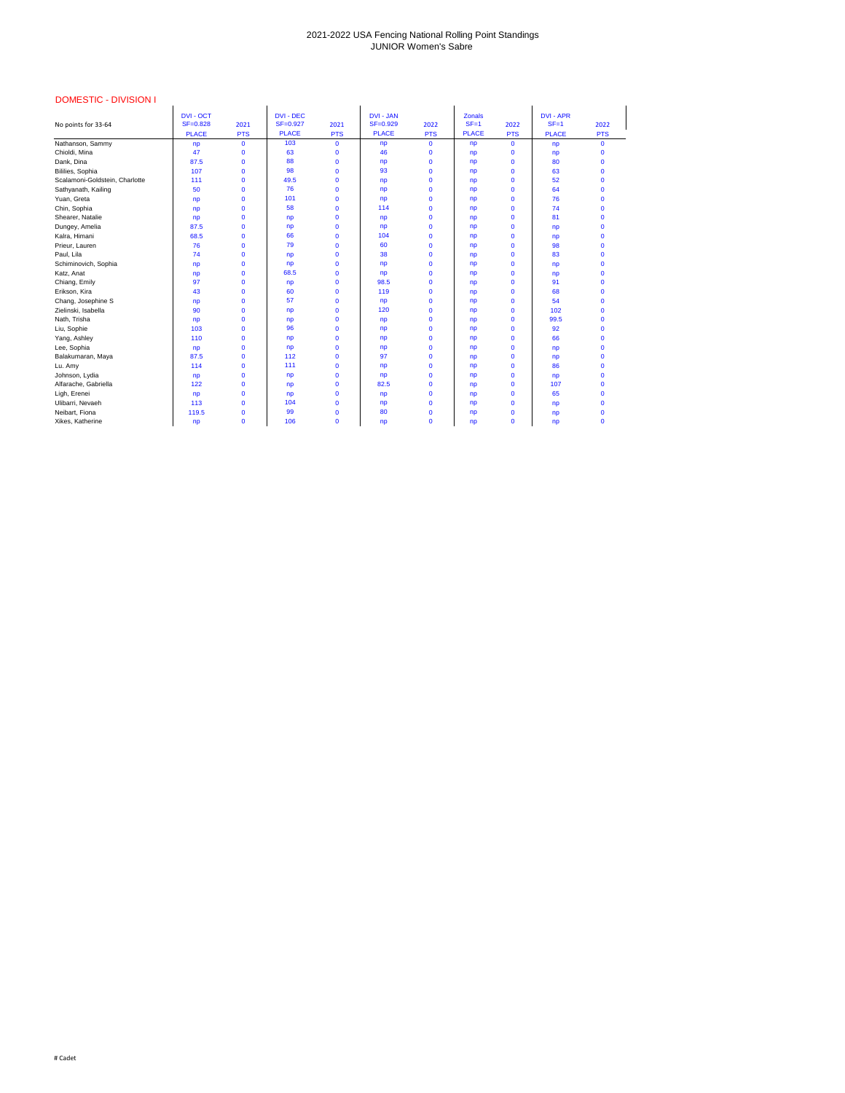#### DOMESTIC - DIVISION I

| No points for 33-64            | <b>DVI - OCT</b><br>$SF = 0.828$<br><b>PLACE</b> | 2021<br><b>PTS</b> | <b>DVI - DEC</b><br>SF=0.927<br><b>PLACE</b> | 2021<br><b>PTS</b> | <b>DVI - JAN</b><br>SF=0.929<br><b>PLACE</b> | 2022<br><b>PTS</b> | <b>Zonals</b><br>$SF=1$<br><b>PLACE</b> | 2022<br><b>PTS</b> | <b>DVI - APR</b><br>$SF = 1$<br><b>PLACE</b> | 2022<br><b>PTS</b> |
|--------------------------------|--------------------------------------------------|--------------------|----------------------------------------------|--------------------|----------------------------------------------|--------------------|-----------------------------------------|--------------------|----------------------------------------------|--------------------|
| Nathanson, Sammy               | np                                               | $\mathbf{0}$       | 103                                          | $\overline{0}$     | np                                           | $\mathbf{0}$       | np                                      | $\mathbf 0$        | np                                           | $\mathbf 0$        |
| Chioldi, Mina                  | 47                                               | $\mathbf{0}$       | 63                                           | $\mathbf{0}$       | 46                                           | $\bf{0}$           | np                                      | $\bf{0}$           | np                                           | $\mathbf{0}$       |
| Dank, Dina                     | 87.5                                             | $\bf{0}$           | 88                                           | O                  | np                                           | $\mathbf 0$        | np                                      | $\bf{0}$           | 80                                           |                    |
| Bililies, Sophia               | 107                                              | $\Omega$           | 98                                           | O                  | 93                                           | $\bf{0}$           | np                                      | $\Omega$           | 63                                           |                    |
| Scalamoni-Goldstein, Charlotte | 111                                              | $\mathbf{0}$       | 49.5                                         | 0                  | np                                           | $\bf{0}$           | np                                      | $\bf{0}$           | 52                                           |                    |
| Sathyanath, Kailing            | 50                                               | 0                  | 76                                           | 0                  | np                                           | $\mathbf 0$        | np                                      | $\bf{0}$           | 64                                           |                    |
| Yuan, Greta                    | np                                               | 0                  | 101                                          | $\mathbf{0}$       | np                                           | $\mathbf 0$        | np                                      | $\bf{0}$           | 76                                           |                    |
| Chin, Sophia                   | np                                               | $\mathbf{0}$       | 58                                           | $\mathbf{0}$       | 114                                          | $\mathbf 0$        | np                                      | $\Omega$           | 74                                           |                    |
| Shearer, Natalie               | np                                               | $\bf{0}$           | np                                           | O                  | np                                           | $\mathbf{0}$       | np                                      | $\Omega$           | 81                                           |                    |
| Dungey, Amelia                 | 87.5                                             | $\mathbf{0}$       | np                                           | 0                  | np                                           | $\bf{0}$           | np                                      | $\bf{0}$           | np                                           |                    |
| Kalra, Himani                  | 68.5                                             | $\mathbf 0$        | 66                                           | $\mathbf{0}$       | 104                                          | $\mathbf 0$        | np                                      | $\bf{0}$           | np                                           |                    |
| Prieur, Lauren                 | 76                                               | $\mathbf 0$        | 79                                           | $\mathbf 0$        | 60                                           | $\bf{0}$           | np                                      | $\bf{0}$           | 98                                           |                    |
| Paul, Lila                     | 74                                               | $\mathbf{0}$       | np                                           | $\mathbf{0}$       | 38                                           | $\mathbf 0$        | np                                      | $\bf{0}$           | 83                                           |                    |
| Schiminovich, Sophia           | np                                               | $\bf{0}$           | np                                           | O                  | np                                           | $\mathbf 0$        | np                                      | $\bf{0}$           | np                                           |                    |
| Katz, Anat                     | np                                               | $\bf{0}$           | 68.5                                         | 0                  | np                                           | $\mathbf 0$        | np                                      | $\bf{0}$           | np                                           |                    |
| Chiang, Emily                  | 97                                               | $\Omega$           | np                                           | 0                  | 98.5                                         | $\mathbf 0$        | np                                      | $\Omega$           | 91                                           |                    |
| Erikson, Kira                  | 43                                               | $\Omega$           | 60                                           | 0                  | 119                                          | $\bf{0}$           | np                                      | $\Omega$           | 68                                           |                    |
| Chang, Josephine S             | np                                               | $\bf{0}$           | 57                                           | 0                  | np                                           | $\bf{0}$           | np                                      | $\bf{0}$           | 54                                           |                    |
| Zielinski, Isabella            | 90                                               | $\Omega$           | np                                           | $\Omega$           | 120                                          | $\mathbf 0$        | np                                      | $\Omega$           | 102                                          |                    |
| Nath, Trisha                   | np                                               | $\bf{0}$           | np                                           | O                  | np                                           | $\mathbf 0$        | np                                      | $\bf{0}$           | 99.5                                         |                    |
| Liu, Sophie                    | 103                                              | $\mathbf{0}$       | 96                                           | $\mathbf{0}$       | np                                           | $\mathbf 0$        | np                                      | $\bf{0}$           | 92                                           |                    |
| Yang, Ashley                   | 110                                              | $\mathbf{0}$       | np                                           | $\mathbf{0}$       | np                                           | $\bf{0}$           | np                                      | $\Omega$           | 66                                           |                    |
| Lee, Sophia                    | np                                               | 0                  | np                                           | 0                  | np                                           | $\bf{0}$           | np                                      | $\bf{0}$           | np                                           |                    |
| Balakumaran, Maya              | 87.5                                             | $\bf{0}$           | 112                                          | $\mathbf{0}$       | 97                                           | $\mathbf 0$        | np                                      | $\bf{0}$           | np                                           |                    |
| Lu. Amy                        | 114                                              | $\mathbf{0}$       | 111                                          | $\mathbf{0}$       | np                                           | $\mathbf 0$        | np                                      | $\bf{0}$           | 86                                           |                    |
| Johnson, Lydia                 | np                                               | 0                  | np                                           | 0                  | np                                           | $\mathbf 0$        | np                                      | $\bf{0}$           | np                                           |                    |
| Alfarache, Gabriella           | 122                                              | $\Omega$           | np                                           | O                  | 82.5                                         | $\mathbf 0$        | np                                      | $\Omega$           | 107                                          |                    |
| Ligh, Erenei                   | np                                               | $\mathbf{0}$       | np                                           | 0                  | np                                           | $\bf{0}$           | np                                      | $\bf{0}$           | 65                                           |                    |
| Ulibarri, Nevaeh               | 113                                              | $\bf{0}$           | 104                                          | 0                  | np                                           | $\bf{0}$           | np                                      | $\bf{0}$           | np                                           |                    |
| Neibart, Fiona                 | 119.5                                            | $\bf{0}$           | 99                                           | $\mathbf 0$        | 80                                           | $\mathbf 0$        | np                                      | $\bf{0}$           | np                                           |                    |
| Xikes, Katherine               | np                                               | $\mathbf{0}$       | 106                                          | $\mathbf{0}$       | np                                           | $\mathbf 0$        | np                                      | $\bf{0}$           | np                                           | 0                  |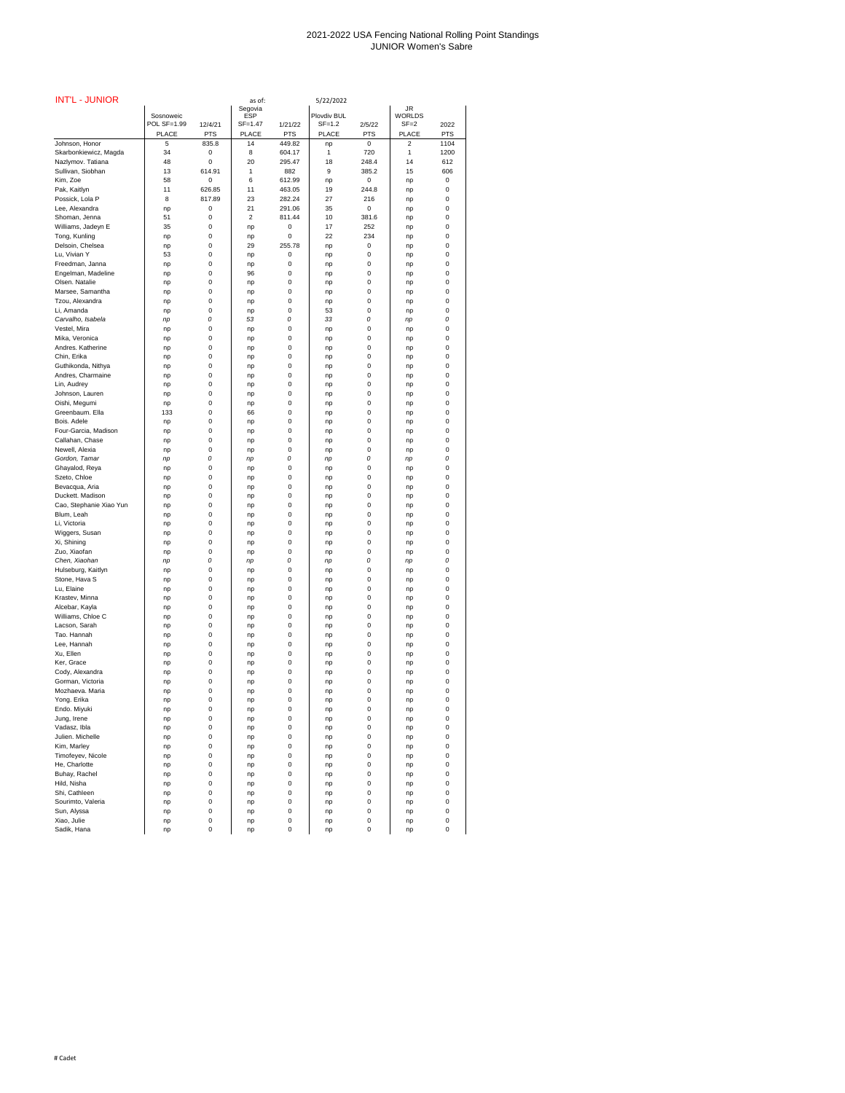| <b>INT'L - JUNIOR</b>                   |              |             | as of:                |                  | 5/22/2022    |               |                            |               |  |  |  |
|-----------------------------------------|--------------|-------------|-----------------------|------------------|--------------|---------------|----------------------------|---------------|--|--|--|
|                                         | Sosnoweic    |             | Segovia<br><b>ESP</b> |                  | Plovdiv BUL  |               | <b>JR</b><br><b>WORLDS</b> |               |  |  |  |
|                                         | POL SF=1.99  | 12/4/21     | $SF = 1.47$           | 1/21/22          | $SF=1.2$     | 2/5/22        | $SF = 2$                   | 2022          |  |  |  |
|                                         | <b>PLACE</b> | <b>PTS</b>  | <b>PLACE</b>          | <b>PTS</b>       | <b>PLACE</b> | <b>PTS</b>    | <b>PLACE</b>               | <b>PTS</b>    |  |  |  |
| Johnson, Honor<br>Skarbonkiewicz, Magda | 5<br>34      | 835.8<br>0  | 14<br>8               | 449.82<br>604.17 | np<br>1      | 0<br>720      | $\overline{2}$<br>1        | 1104<br>1200  |  |  |  |
| Nazlymov. Tatiana                       | 48           | 0           | 20                    | 295.47           | 18           | 248.4         | 14                         | 612           |  |  |  |
| Sullivan, Siobhan                       | 13           | 614.91      | 1                     | 882              | 9            | 385.2         | 15                         | 606           |  |  |  |
| Kim, Zoe                                | 58           | 0           | 6                     | 612.99           | np           | 0             | np                         | 0             |  |  |  |
| Pak, Kaitlyn                            | 11           | 626.85      | 11                    | 463.05           | 19           | 244.8         | np                         | 0             |  |  |  |
| Possick, Lola P<br>Lee, Alexandra       | 8            | 817.89<br>0 | 23<br>21              | 282.24<br>291.06 | 27<br>35     | 216<br>0      | np<br>np                   | 0<br>0        |  |  |  |
| Shoman, Jenna                           | np<br>51     | 0           | $\overline{2}$        | 811.44           | 10           | 381.6         | np                         | 0             |  |  |  |
| Williams, Jadeyn E                      | 35           | 0           | np                    | 0                | 17           | 252           | np                         | 0             |  |  |  |
| Tong, Kunling                           | np           | 0           | np                    | 0                | 22           | 234           | np                         | 0             |  |  |  |
| Delsoin, Chelsea                        | np           | 0           | 29                    | 255.78           | np           | 0             | np                         | 0             |  |  |  |
| Lu, Vivian Y<br>Freedman, Janna         | 53           | 0           | np                    | 0                | np           | 0             | np                         | 0             |  |  |  |
| Engelman, Madeline                      | np<br>np     | 0<br>0      | np<br>96              | 0<br>0           | np<br>np     | 0<br>0        | np<br>np                   | 0<br>0        |  |  |  |
| Olsen. Natalie                          | np           | 0           | np                    | 0                | np           | 0             | np                         | 0             |  |  |  |
| Marsee, Samantha                        | np           | 0           | np                    | 0                | np           | 0             | np                         | 0             |  |  |  |
| Tzou, Alexandra                         | np           | 0           | np                    | 0                | np           | 0             | np                         | 0             |  |  |  |
| Li, Amanda                              | np           | 0           | np                    | 0                | 53           | 0             | np                         | 0             |  |  |  |
| Carvalho, Isabela<br>Vestel, Mira       | np           | 0<br>0      | 53                    | 0<br>0           | 33           | 0<br>0        | np                         | 0<br>0        |  |  |  |
| Mika, Veronica                          | np<br>np     | 0           | np<br>np              | 0                | np<br>np     | 0             | np<br>np                   | 0             |  |  |  |
| Andres. Katherine                       | np           | 0           | np                    | 0                | np           | 0             | np                         | 0             |  |  |  |
| Chin, Erika                             | np           | 0           | np                    | 0                | np           | 0             | np                         | 0             |  |  |  |
| Guthikonda, Nithya                      | np           | 0           | np                    | 0                | np           | 0             | np                         | 0             |  |  |  |
| Andres, Charmaine                       | np           | 0           | np                    | 0                | np           | 0             | np                         | 0             |  |  |  |
| Lin, Audrey<br>Johnson, Lauren          | np           | 0<br>0      | np                    | 0<br>0           | np<br>np     | $\Omega$<br>0 | np                         | $\Omega$<br>0 |  |  |  |
| Oishi, Megumi                           | np<br>np     | 0           | np<br>np              | 0                | np           | 0             | np<br>np                   | 0             |  |  |  |
| Greenbaum. Ella                         | 133          | 0           | 66                    | 0                | np           | 0             | np                         | 0             |  |  |  |
| Bois. Adele                             | np           | 0           | np                    | 0                | np           | 0             | np                         | 0             |  |  |  |
| Four-Garcia, Madison                    | np           | 0           | np                    | 0                | np           | 0             | np                         | 0             |  |  |  |
| Callahan, Chase                         | np           | 0           | np                    | 0                | np           | 0             | np                         | 0             |  |  |  |
| Newell, Alexia<br>Gordon, Tamar         | np<br>np     | 0<br>0      | np<br>np              | 0<br>0           | np<br>np     | 0<br>0        | np<br>np                   | 0<br>0        |  |  |  |
| Ghayalod, Reya                          | np           | 0           | np                    | 0                | np           | 0             | np                         | 0             |  |  |  |
| Szeto, Chloe                            | np           | 0           | np                    | 0                | np           | 0             | np                         | 0             |  |  |  |
| Bevacqua, Aria                          | np           | 0           | np                    | 0                | np           | 0             | np                         | 0             |  |  |  |
| Duckett. Madison                        | np           | 0           | np                    | 0                | np           | 0             | np                         | 0             |  |  |  |
| Cao, Stephanie Xiao Yun                 | np           | 0           | np                    | 0                | np           | 0             | np                         | 0             |  |  |  |
| Blum, Leah<br>Li, Victoria              | np<br>np     | 0<br>0      | np<br>np              | 0<br>0           | np<br>np     | 0<br>0        | np<br>np                   | 0<br>0        |  |  |  |
| Wiggers, Susan                          | np           | 0           | np                    | 0                | np           | 0             | np                         | 0             |  |  |  |
| Xi, Shining                             | np           | 0           | np                    | 0                | np           | 0             | np                         | 0             |  |  |  |
| Zuo, Xiaofan                            | np           | 0           | np                    | 0                | np           | 0             | np                         | 0             |  |  |  |
| Chen, Xiaohan                           | np           | 0           | np                    | 0                | np           | 0             | np                         | 0             |  |  |  |
| Hulseburg, Kaitlyn<br>Stone, Hava S     | np<br>np     | 0<br>0      | np<br>np              | 0<br>0           | np<br>np     | 0<br>0        | np<br>np                   | 0<br>0        |  |  |  |
| Lu, Elaine                              | np           | 0           | np                    | 0                | np           | 0             | np                         | 0             |  |  |  |
| Krastev, Minna                          | np           | 0           | np                    | 0                | np           | 0             | np                         | 0             |  |  |  |
| Alcebar, Kayla                          | np           | 0           | np                    | 0                | np           | 0             | np                         | 0             |  |  |  |
| Williams, Chloe C                       | np           | 0           | np                    | 0                | np           | 0             | np                         | 0             |  |  |  |
| Lacson, Sarah<br>Tao. Hannah            | np           | 0           | np                    | 0                | np           | 0             | np                         | 0<br>0        |  |  |  |
| Lee, Hannah                             | np<br>np     | 0<br>0      | np<br>np              | 0<br>0           | np<br>np     | 0<br>0        | np<br>np                   | 0             |  |  |  |
| Xu, Ellen                               | np           | 0           | np                    | 0                | np           | 0             | np                         | 0             |  |  |  |
| Ker, Grace                              | np           | 0           | np                    | 0                | np           | 0             | np                         | 0             |  |  |  |
| Cody, Alexandra                         | np           | 0           | np                    | 0                | np           | 0             | np                         | 0             |  |  |  |
| Gorman, Victoria<br>Mozhaeva. Maria     | np           | 0           | np                    | 0                | np           | 0             | np                         | 0             |  |  |  |
| Yong. Erika                             | np<br>np     | 0<br>0      | np<br>np              | 0<br>0           | np<br>np     | 0<br>0        | np<br>np                   | 0<br>0        |  |  |  |
| Endo. Miyuki                            | np           | 0           | np                    | 0                | np           | 0             | np                         | 0             |  |  |  |
| Jung, Irene                             | np           | 0           | np                    | 0                | np           | 0             | np                         | 0             |  |  |  |
| Vadasz, Ibla                            | np           | 0           | np                    | 0                | np           | 0             | np                         | 0             |  |  |  |
| Julien. Michelle                        | np           | 0           | np                    | 0                | np           | 0             | np                         | 0             |  |  |  |
| Kim, Marley                             | np           | 0           | np                    | 0                | np           | 0             | np                         | 0             |  |  |  |
| Timofeyev, Nicole<br>He, Charlotte      | np<br>np     | 0<br>0      | np<br>np              | 0<br>0           | np<br>np     | 0<br>0        | np<br>np                   | 0<br>0        |  |  |  |
| Buhay, Rachel                           | np           | 0           | np                    | 0                | np           | 0             | np                         | 0             |  |  |  |
| Hild, Nisha                             | np           | 0           | np                    | 0                | np           | 0             | np                         | 0             |  |  |  |
| Shi, Cathleen                           | np           | 0           | np                    | 0                | np           | 0             | np                         | 0             |  |  |  |
| Sourimto, Valeria                       | np           | 0           | np                    | 0                | np           | 0             | np                         | 0             |  |  |  |
| Sun, Alyssa                             | np           | 0           | np                    | 0                | np           | 0             | np                         | 0             |  |  |  |
| Xiao, Julie<br>Sadik, Hana              | np           | 0<br>0      | np                    | 0<br>0           | np<br>np     | 0<br>0        | np                         | 0<br>0        |  |  |  |
|                                         | np           |             | np                    |                  |              |               | np                         |               |  |  |  |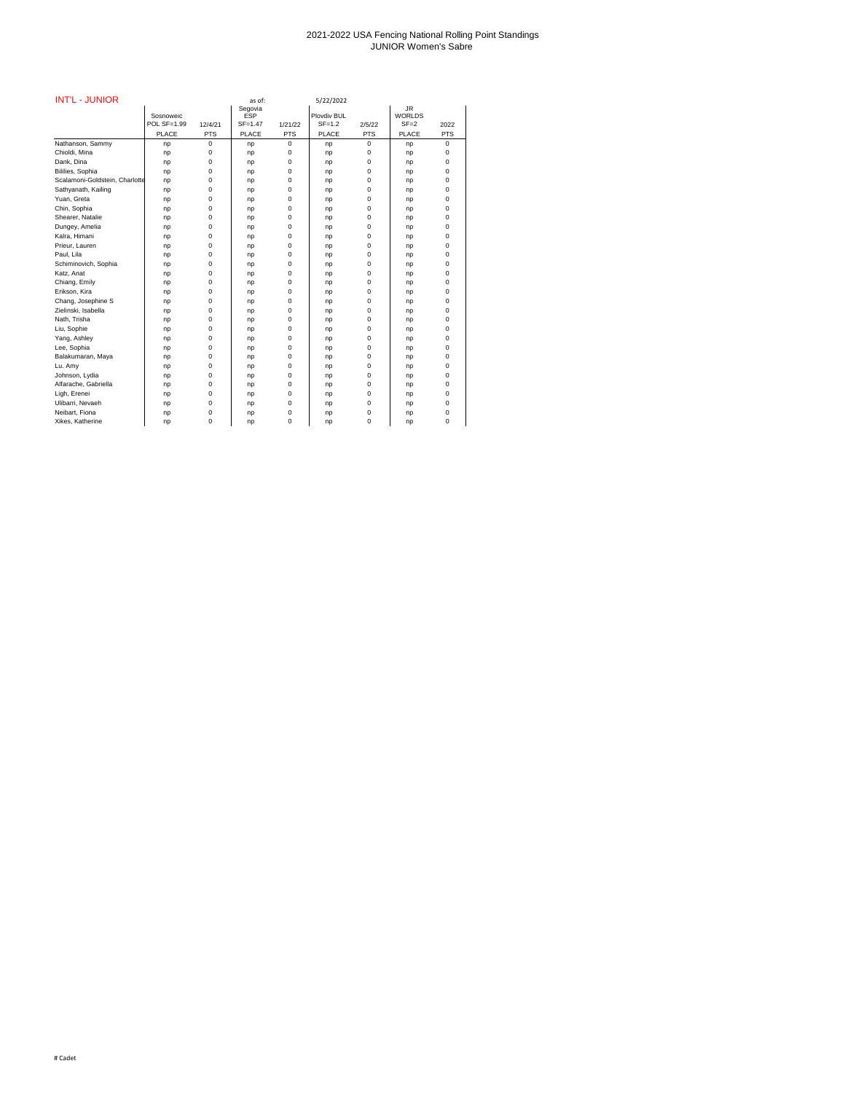| <b>INT'L - JUNIOR</b>          |                          |             | as of:<br>5/22/2022       |                  |                         |             |                           |             |  |
|--------------------------------|--------------------------|-------------|---------------------------|------------------|-------------------------|-------------|---------------------------|-------------|--|
|                                |                          |             | Segovia                   |                  |                         |             | <b>JR</b>                 |             |  |
|                                | Sosnoweic<br>POL SF=1.99 | 12/4/21     | <b>ESP</b><br>$SF = 1.47$ | 1/21/22          | Plovdiv BUL<br>$SF=1.2$ | 2/5/22      | <b>WORLDS</b><br>$SF = 2$ | 2022        |  |
|                                | <b>PLACE</b>             | <b>PTS</b>  | <b>PLACE</b>              | <b>PTS</b>       | <b>PLACE</b>            | <b>PTS</b>  | <b>PLACE</b>              | <b>PTS</b>  |  |
| Nathanson, Sammy               | np                       | $\mathbf 0$ | np                        | $\boldsymbol{0}$ | np                      | $\pmb{0}$   | np                        | 0           |  |
| Chioldi, Mina                  | np                       | 0           | np                        | 0                | np                      | 0           | np                        | 0           |  |
| Dank, Dina                     | np                       | $\Omega$    | np                        | 0                | np                      | 0           | np                        | $\Omega$    |  |
| Bililies, Sophia               | np                       | 0           | np                        | 0                | np                      | 0           | np                        | 0           |  |
| Scalamoni-Goldstein, Charlotte | np                       | 0           | np                        | 0                | np                      | 0           | np                        | 0           |  |
| Sathyanath, Kailing            | np                       | 0           | np                        | 0                | np                      | 0           | np                        | 0           |  |
| Yuan, Greta                    | np                       | 0           | np                        | 0                | np                      | $\mathbf 0$ | np                        | $\Omega$    |  |
| Chin, Sophia                   | np                       | 0           | np                        | 0                | np                      | 0           | np                        | 0           |  |
| Shearer, Natalie               | np                       | 0           | np                        | 0                | np                      | 0           | np                        | 0           |  |
| Dungey, Amelia                 | np                       | 0           | np                        | 0                | np                      | 0           | np                        | 0           |  |
| Kalra, Himani                  | np                       | 0           | np                        | 0                | np                      | $\mathbf 0$ | np                        | 0           |  |
| Prieur, Lauren                 | np                       | 0           | np                        | 0                | np                      | $\mathbf 0$ | np                        | 0           |  |
| Paul, Lila                     | np                       | 0           | np                        | 0                | np                      | 0           | np                        | 0           |  |
| Schiminovich, Sophia           | np                       | 0           | np                        | 0                | np                      | 0           | np                        | 0           |  |
| Katz, Anat                     | np                       | 0           | np                        | 0                | np                      | 0           | np                        | 0           |  |
| Chiang, Emily                  | np                       | 0           | np                        | 0                | np                      | 0           | np                        | 0           |  |
| Erikson, Kira                  | np                       | 0           | np                        | 0                | np                      | 0           | np                        | 0           |  |
| Chang, Josephine S             | np                       | 0           | np                        | 0                | np                      | 0           | np                        | 0           |  |
| Zielinski, Isabella            | np                       | 0           | np                        | 0                | np                      | 0           | np                        | 0           |  |
| Nath, Trisha                   | np                       | 0           | np                        | 0                | np                      | 0           | np                        | 0           |  |
| Liu, Sophie                    | np                       | 0           | np                        | 0                | np                      | 0           | np                        | 0           |  |
| Yang, Ashley                   | np                       | 0           | np                        | 0                | np                      | $\mathbf 0$ | np                        | 0           |  |
| Lee, Sophia                    | np                       | 0           | np                        | 0                | np                      | 0           | np                        | 0           |  |
| Balakumaran, Maya              | np                       | 0           | np                        | 0                | np                      | 0           | np                        | 0           |  |
| Lu. Amy                        | np                       | 0           | np                        | 0                | np                      | 0           | np                        | 0           |  |
| Johnson, Lydia                 | np                       | 0           | np                        | 0                | np                      | 0           | np                        | 0           |  |
| Alfarache, Gabriella           | np                       | 0           | np                        | 0                | np                      | 0           | np                        | $\Omega$    |  |
| Ligh, Erenei                   | np                       | 0           | np                        | 0                | np                      | 0           | np                        | 0           |  |
| Ulibarri, Nevaeh               | np                       | 0           | np                        | 0                | np                      | 0           | np                        | $\Omega$    |  |
| Neibart, Fiona                 | np                       | 0           | np                        | 0                | np                      | 0           | np                        | 0           |  |
| Xikes, Katherine               | np                       | $\mathbf 0$ | np                        | 0                | np                      | $\mathbf 0$ | np                        | $\mathbf 0$ |  |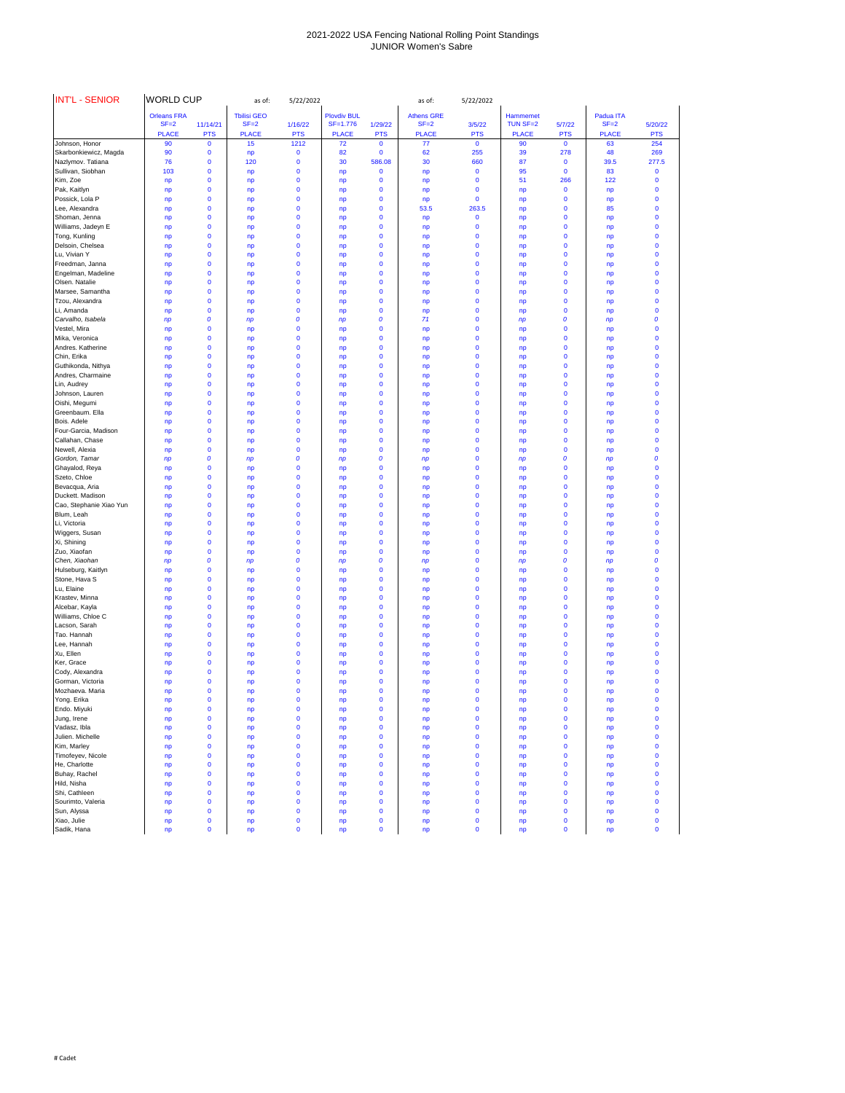| <b>INT'L - SENIOR</b>                       | <b>WORLD CUP</b>   |                              | as of:             | 5/22/2022                    |                    |                             | as of:            | 5/22/2022            |              |                              |              |              |  |
|---------------------------------------------|--------------------|------------------------------|--------------------|------------------------------|--------------------|-----------------------------|-------------------|----------------------|--------------|------------------------------|--------------|--------------|--|
|                                             | <b>Orleans FRA</b> |                              | <b>Thilisi GEO</b> |                              | <b>Plovdiv BUL</b> |                             | <b>Athens GRE</b> |                      | Hammemet     |                              | Padua ITA    |              |  |
|                                             | $SF = 2$           | 11/14/21                     | $SF = 2$           | 1/16/22                      | $SF = 1.776$       | 1/29/22                     | $SF = 2$          | 3/5/22               | TUN SF=2     | 5/7/22                       | $SF = 2$     | 5/20/22      |  |
|                                             | <b>PLACE</b>       | <b>PTS</b>                   | <b>PLACE</b>       | <b>PTS</b>                   | <b>PLACE</b>       | <b>PTS</b>                  | <b>PLACE</b>      | <b>PTS</b>           | <b>PLACE</b> | <b>PTS</b>                   | <b>PLACE</b> | <b>PTS</b>   |  |
| Johnson, Honor<br>Skarbonkiewicz, Magda     | 90<br>90           | $\mathbf{0}$<br>$\mathbf{0}$ | 15<br>np           | 1212<br>$\mathbf 0$          | 72<br>82           | $\mathbf{0}$<br>$\mathbf 0$ | 77<br>62          | $\mathbf{0}$<br>255  | 90<br>39     | $\mathbf{0}$<br>278          | 63<br>48     | 254<br>269   |  |
| Nazlymov. Tatiana                           | 76                 | $\bf{0}$                     | 120                | 0                            | 30                 | 586.08                      | 30                | 660                  | 87           | $\mathbf{0}$                 | 39.5         | 277.5        |  |
| Sullivan, Siobhan                           | 103                | $\mathbf{0}$                 | np                 | $\mathbf{0}$                 | np                 | $\mathbf{0}$                | np                | $\Omega$             | 95           | $\mathbf{0}$                 | 83           | $\mathbf{0}$ |  |
| Kim, Zoe                                    | np                 | $\mathbf{0}$                 | np                 | 0                            | np                 | 0                           | np                |                      | 51           | 266                          | 122          |              |  |
| Pak, Kaitlyn                                | np                 | $\mathbf{0}$                 | np                 | 0                            | np                 | $\mathbf 0$                 | np                | $\Omega$             | np           | $\mathbf 0$                  | np           |              |  |
| Possick, Lola P<br>Lee, Alexandra           | np                 | $\Omega$                     | np                 | $\mathbf{0}$<br>0            | np                 | $\bf{0}$<br>0               | np<br>53.5        | $\Omega$<br>263.5    | np           | $\mathbf{0}$<br>$\mathbf{0}$ | np<br>85     |              |  |
| Shoman, Jenna                               | np<br>np           | $\mathbf{0}$                 | np<br>np           | $\mathbf{0}$                 | np<br>np           | $\mathbf{0}$                | np                | $\Omega$             | np<br>np     | $\mathbf{0}$                 | np           |              |  |
| Williams, Jadeyn E                          | np                 | $\mathbf{0}$                 | np                 | 0                            | np                 | 0                           | np                | $\Omega$             | np           | $\mathbf{0}$                 | np           |              |  |
| Tong, Kunling                               | np                 | $\bf{0}$                     | np                 | 0                            | np                 | 0                           | np                |                      | np           | $\mathbf{0}$                 | np           |              |  |
| Delsoin, Chelsea                            | np                 | $\mathbf{0}$                 | np                 | 0                            | np                 | $\mathbf 0$                 | np                |                      | np           | $\mathbf{0}$                 | np           |              |  |
| Lu, Vivian Y                                | np                 | $\Omega$                     | np                 | 0<br>O                       | np                 | 0                           | np                |                      | np           | 0<br>$\Omega$                | np           |              |  |
| Freedman, Janna<br>Engelman, Madeline       | np<br>np           | $\mathbf{0}$                 | np<br>np           | 0                            | np<br>np           | $\mathbf 0$<br>0            | np<br>np          |                      | np<br>np     | $\mathbf{0}$                 | np<br>np     |              |  |
| Olsen. Natalie                              | np                 | $\bf{0}$                     | np                 | 0                            | np                 | 0                           | np                |                      | np           | $\mathbf{0}$                 | np           |              |  |
| Marsee, Samantha                            | np                 | $\mathbf{0}$                 | np                 | 0                            | np                 | $\mathbf 0$                 | np                |                      | np           | $\mathbf{0}$                 | np           |              |  |
| Tzou, Alexandra                             | np                 | 0                            | np                 | 0                            | np                 | $\mathbf 0$                 | np                |                      | np           | $\mathbf{0}$                 | np           |              |  |
| Li, Amanda                                  | np                 | $\mathbf{0}$                 | np                 | 0                            | np                 | $\mathbf{0}$                | np                |                      | np           | $\mathbf{0}$                 | np           |              |  |
| Carvalho, Isabela<br>Vestel, Mira           | np<br>np           | $\Omega$<br>$\mathbf{0}$     | np                 | 0<br>0                       | np                 | 0<br>0                      | 71                |                      | np           | 0<br>$\mathbf{0}$            | np           |              |  |
| Mika, Veronica                              | np                 | $\mathbf{0}$                 | np<br>np           | $\mathbf{0}$                 | np<br>np           | $\mathbf{0}$                | np<br>np          |                      | np<br>np     | $\mathbf{0}$                 | np<br>np     |              |  |
| Andres. Katherine                           | np                 | $\Omega$                     | np                 | 0                            | np                 | $\mathbf 0$                 | np                |                      | np           | $\mathbf{0}$                 | np           |              |  |
| Chin, Erika                                 | np                 | $\bf{0}$                     | np                 | 0                            | np                 | 0                           | np                |                      | np           | $\mathbf{0}$                 | np           |              |  |
| Guthikonda, Nithya                          | np                 | $\mathbf{0}$                 | np                 | $\mathbf{0}$                 | np                 | $\mathbf{0}$                | np                |                      | np           | $\mathbf{0}$                 | np           |              |  |
| Andres, Charmaine<br>Lin, Audrey            | np                 | $\mathbf{0}$                 | np                 | 0<br>$\mathbf{0}$            | np                 | 0<br>$\Omega$               | np                | $\Omega$             | np           | 0<br>$\Omega$                | np           | $\Omega$     |  |
| Johnson, Lauren                             | n p<br>np          | $\mathbf{0}$                 | np<br>np           | $\bf{0}$                     | np<br>np           | $\bf{0}$                    | np<br>np          | $\mathbf{0}$         | np<br>np     | $\mathbf 0$                  | np<br>np     |              |  |
| Oishi, Megumi                               | np                 | $\mathbf{0}$                 | np                 | $\mathbf 0$                  | np                 | 0                           | np                | O                    | np           | $\mathbf{0}$                 | np           |              |  |
| Greenbaum. Ella                             | np                 | $\mathbf{0}$                 | np                 | $\mathbf{0}$                 | np                 | $\mathbf{0}$                | np                |                      | np           | $\mathbf{0}$                 | np           |              |  |
| Bois. Adele                                 | np                 | $\Omega$                     | np                 | 0                            | np                 | $\mathbf 0$                 | np                |                      | np           | $\mathbf{0}$                 | np           |              |  |
| Four-Garcia, Madison                        | np                 | $\Omega$                     | np                 | 0                            | np                 | $\mathbf{0}$                | np                |                      | np           | $\mathbf{0}$                 | np           |              |  |
| Callahan, Chase<br>Newell, Alexia           | np<br>np           | $\Omega$<br>$\mathbf{0}$     | np<br>np           | 0<br>0                       | np<br>np           | $\bf{0}$<br>0               | np<br>np          |                      | np<br>np     | $\mathbf{0}$<br>$\mathbf 0$  | np<br>np     |              |  |
| Gordon, Tamar                               | np                 | $\Omega$                     | np                 | 0                            | np                 | 0                           | np                |                      | np           | 0                            | np           |              |  |
| Ghayalod, Reya                              | np                 | $\Omega$                     | np                 | $\mathbf{0}$                 | np                 | 0                           | np                |                      | np           | $\mathbf 0$                  | np           |              |  |
| Szeto, Chloe                                | np                 | $\mathbf{0}$                 | np                 | 0                            | np                 | 0                           | np                |                      | np           | 0                            | np           |              |  |
| Bevacqua, Aria                              | np                 | $\mathbf{0}$                 | np                 | 0                            | np                 | $\bf{0}$                    | np                |                      | np           | $\bf{0}$                     | np           |              |  |
| Duckett. Madison<br>Cao, Stephanie Xiao Yun | np<br>np           | $\mathbf{0}$<br>$\Omega$     | np<br>np           | 0<br>O                       | np<br>np           | 0<br>$\mathbf{0}$           | np<br>np          |                      | np<br>np     | $\mathbf{0}$<br>$\mathbf{0}$ | np<br>np     |              |  |
| Blum, Leah                                  | np                 | $\Omega$                     | np                 | 0                            | np                 | $\bf{0}$                    | np                |                      | np           | $\mathbf{0}$                 | np           |              |  |
| Li, Victoria                                | np                 | $\mathbf{0}$                 | np                 | 0                            | np                 | $\mathbf{0}$                | np                |                      | np           | $\mathbf{0}$                 | np           |              |  |
| Wiggers, Susan                              | np                 | $\mathbf{0}$                 | np                 | 0                            | np                 | $\mathbf{0}$                | np                |                      | np           | $\bf{0}$                     | np           |              |  |
| Xi, Shining                                 | np                 | $\Omega$                     | np                 | O                            | np                 | $\mathbf 0$                 | np                |                      | np           | $\bf{0}$                     | np           |              |  |
| Zuo, Xiaofan<br>Chen, Xiaohan               | np<br>np           | $\mathbf{0}$<br>$\Omega$     | np<br>np           | 0<br>0                       | np<br>np           | 0<br>0                      | np<br>np          |                      | np<br>np     | $\bf{0}$<br>0                | np<br>np     |              |  |
| Hulseburg, Kaitlyn                          | np                 |                              | np                 | 0                            | np                 | $\mathbf{0}$                | np                |                      | np           | 0                            | np           |              |  |
| Stone, Hava S                               | np                 | $\Omega$                     | np                 | 0                            | np                 | $\mathbf{0}$                | np                |                      | np           | $\mathbf{0}$                 | np           |              |  |
| Lu, Elaine                                  | np                 | $\mathbf{0}$                 | np                 | 0                            | np                 | 0                           | np                | ∩                    | np           | $\bf{0}$                     | np           |              |  |
| Krastev, Minna                              | np                 | $\bf{0}$                     | np                 | 0                            | np                 | 0                           | np                |                      | np           | $\bf{0}$                     | np           |              |  |
| Alcebar, Kayla<br>Williams, Chloe C         | np<br>np           | $\mathbf{0}$<br>$\Omega$     | np<br>np           | 0<br>0                       | np<br>np           | $\bf{0}$<br>$\mathbf{0}$    | np<br>np          |                      | np<br>np     | $\mathbf{0}$<br>0            | np<br>np     |              |  |
| Lacson, Sarah                               | np                 | $\Omega$                     | np                 | 0                            | np                 | $\mathbf{0}$                | np                |                      | np           | $\mathbf{0}$                 | np           |              |  |
| Tao. Hannah                                 | np                 | $\Omega$                     | np                 | 0                            | np                 | 0                           | np                |                      | np           | $\bf{0}$                     | np           |              |  |
| Lee, Hannah                                 | np                 | $\mathbf{0}$                 | np                 | 0                            | np                 | 0                           | np                |                      | np           | $\bf{0}$                     | np           |              |  |
| Xu, Ellen                                   | np                 | $\mathbf{0}$                 | np                 | 0                            | np                 | $\mathbf{0}$                | np                |                      | np           | $\mathbf{0}$                 | np           |              |  |
| Ker, Grace<br>Cody, Alexandra               | np                 | $\Omega$<br>$\mathbf{0}$     | np                 | 0<br>$\mathbf 0$             | np                 | $\mathbf{0}$<br>$\mathbf 0$ | np                | $\mathbf{0}$         | np           | $\mathbf{0}$<br>$\mathbf{0}$ | np           | $\mathbf 0$  |  |
| Gorman, Victoria                            | np<br>np           | $\mathbf{0}$                 | np<br>np           | $\mathbf 0$                  | np<br>np           | $\mathbf 0$                 | np<br>np          | $\mathbf{0}$         | np<br>np     | $\mathbf{0}$                 | np<br>np     |              |  |
| Mozhaeva. Maria                             | np                 | $\bf{0}$                     | np                 | $\mathbf 0$                  | np                 | 0                           | np                | $\mathbf{0}$         | np           | $\mathbf 0$                  | np           |              |  |
| Yong. Erika                                 | np                 | $\mathbf{0}$                 | np                 | $\mathbf{0}$                 | np                 | $\mathbf 0$                 | np                | $\Omega$             | np           | $\mathbf{0}$                 | np           |              |  |
| Endo. Miyuki                                | np                 | $\mathbf 0$                  | np                 | $\mathbf{0}$                 | np                 | $\mathbf 0$                 | np                | $\mathbf{0}$         | np           | $\mathbf 0$                  | np           |              |  |
| Jung, Irene                                 | np                 | $\mathbf 0$                  | np                 | $\mathbf 0$                  | np                 | 0                           | np                | $\mathbf{0}$         | np           | $\mathbf 0$                  | np           |              |  |
| Vadasz, Ibla<br>Julien. Michelle            | np<br>np           | $\bf{0}$<br>$\mathbf{0}$     | np<br>np           | $\mathbf{0}$<br>0            | np<br>np           | $\mathbf 0$<br>0            | np<br>np          | $\Omega$<br>$\Omega$ | np<br>np     | $\mathbf 0$<br>$\mathbf 0$   | np<br>np     |              |  |
| Kim, Marley                                 | np                 | $\mathbf{0}$                 | np                 | $\mathbf{0}$                 | np                 | 0                           | np                | $\Omega$             | np           | $\mathbf{0}$                 | np           |              |  |
| Timofeyev, Nicole                           | np                 | $\mathbf 0$                  | np                 | $\mathbf 0$                  | np                 | $\mathbf 0$                 | np                | $\mathbf{0}$         | np           | $\mathbf 0$                  | np           |              |  |
| He, Charlotte                               | np                 | $\bf{0}$                     | np                 | 0                            | np                 | 0                           | np                | $\mathbf{0}$         | np           | $\mathbf 0$                  | np           |              |  |
| Buhay, Rachel                               | np                 | $\mathbf 0$                  | np                 | 0                            | np                 | 0                           | np                | $\Omega$             | np           | $\mathbf{0}$                 | np           |              |  |
| Hild, Nisha                                 | np                 | $\mathbf{0}$                 | np                 | 0                            | np                 | $\mathbf{0}$                | np                |                      | np           | $\mathbf 0$                  | np           |              |  |
| Shi, Cathleen<br>Sourimto, Valeria          | np<br>np           | $\mathbf{0}$<br>$\mathbf 0$  | np<br>np           | $\mathbf{0}$<br>$\mathbf{0}$ | np<br>np           | 0<br>$\mathbf 0$            | np<br>np          | $\Omega$<br>$\Omega$ | np<br>np     | $\mathbf{0}$<br>$\bf{0}$     | np<br>np     |              |  |
| Sun, Alyssa                                 | np                 | $\bf{0}$                     | np                 | $\mathbf 0$                  | np                 | 0                           | np                | $\mathbf{0}$         | np           | $\mathbf 0$                  | np           |              |  |
| Xiao, Julie                                 | np                 | $\mathbf 0$                  | np                 | $\mathbf 0$                  | np                 | $\bf{0}$                    | np                | $\mathbf{0}$         | np           | $\mathbf 0$                  | np           |              |  |
| Sadik, Hana                                 | np                 | $\mathbf{0}$                 | np                 | $\mathbf 0$                  | np                 | $\mathbf 0$                 | np                | $\mathbf 0$          | np           | $\mathbf{O}$                 | np           | $\mathbf 0$  |  |